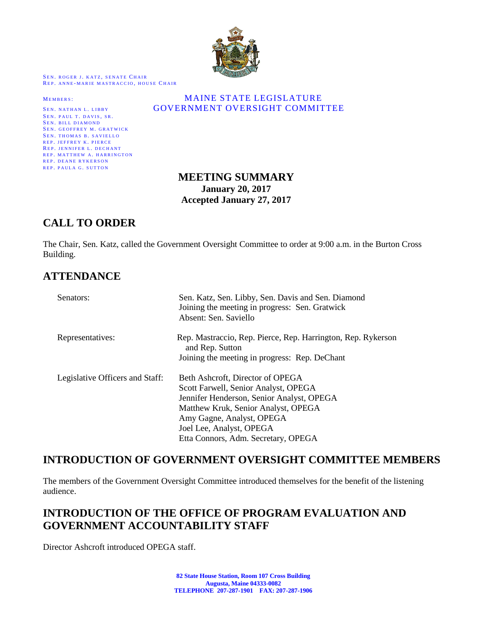

SEN. ROGER J. KATZ, SENATE CHAIR REP. ANNE-MARIE MASTRACCIO, HOUSE CHAIR

SEN. PAUL T. DAVIS, SR. SEN. BILL DIAMOND SEN. GEOFFREY M. GRATWICK SEN. THOMAS B. SAVIELLO REP. JEFFREY K. PIERCE REP. JENNIFER L. DECHANT REP. MATTHEW A. HARRINGTON REP. DEANE RYKERSON REP. PAULA G. SUTTON

#### MEMBERS: MAINE STATE LEGISLATURE SEN. NATHAN L. LIBBY **GOVERNMENT OVERSIGHT COMMITTEE**

# **MEETING SUMMARY January 20, 2017 Accepted January 27, 2017**

# **CALL TO ORDER**

The Chair, Sen. Katz, called the Government Oversight Committee to order at 9:00 a.m. in the Burton Cross Building.

# **ATTENDANCE**

| Senators:                       | Sen. Katz, Sen. Libby, Sen. Davis and Sen. Diamond<br>Joining the meeting in progress: Sen. Gratwick<br>Absent: Sen. Saviello |
|---------------------------------|-------------------------------------------------------------------------------------------------------------------------------|
| Representatives:                | Rep. Mastraccio, Rep. Pierce, Rep. Harrington, Rep. Rykerson<br>and Rep. Sutton                                               |
|                                 | Joining the meeting in progress: Rep. DeChant                                                                                 |
| Legislative Officers and Staff: | Beth Ashcroft, Director of OPEGA                                                                                              |
|                                 | Scott Farwell, Senior Analyst, OPEGA                                                                                          |
|                                 | Jennifer Henderson, Senior Analyst, OPEGA                                                                                     |
|                                 | Matthew Kruk, Senior Analyst, OPEGA                                                                                           |
|                                 | Amy Gagne, Analyst, OPEGA                                                                                                     |
|                                 | Joel Lee, Analyst, OPEGA                                                                                                      |
|                                 | Etta Connors, Adm. Secretary, OPEGA                                                                                           |

# **INTRODUCTION OF GOVERNMENT OVERSIGHT COMMITTEE MEMBERS**

The members of the Government Oversight Committee introduced themselves for the benefit of the listening audience.

# **INTRODUCTION OF THE OFFICE OF PROGRAM EVALUATION AND GOVERNMENT ACCOUNTABILITY STAFF**

Director Ashcroft introduced OPEGA staff.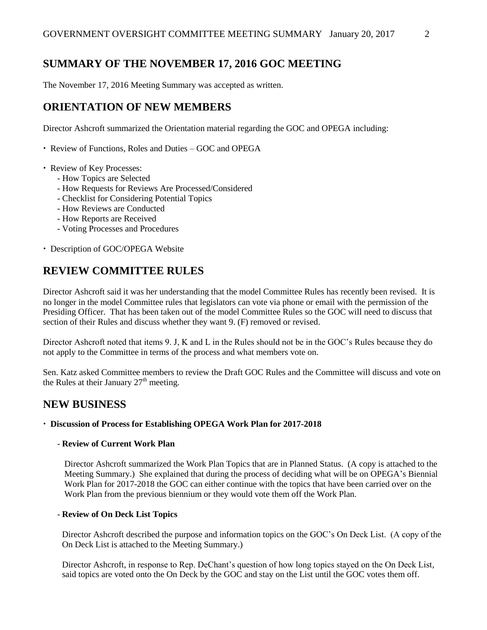# **SUMMARY OF THE NOVEMBER 17, 2016 GOC MEETING**

The November 17, 2016 Meeting Summary was accepted as written.

# **ORIENTATION OF NEW MEMBERS**

Director Ashcroft summarized the Orientation material regarding the GOC and OPEGA including:

• Review of Functions, Roles and Duties – GOC and OPEGA

- Review of Key Processes:
	- How Topics are Selected
	- How Requests for Reviews Are Processed/Considered
	- Checklist for Considering Potential Topics
	- How Reviews are Conducted
	- How Reports are Received
	- Voting Processes and Procedures
- Description of GOC/OPEGA Website

# **REVIEW COMMITTEE RULES**

Director Ashcroft said it was her understanding that the model Committee Rules has recently been revised. It is no longer in the model Committee rules that legislators can vote via phone or email with the permission of the Presiding Officer. That has been taken out of the model Committee Rules so the GOC will need to discuss that section of their Rules and discuss whether they want 9. (F) removed or revised.

Director Ashcroft noted that items 9. J, K and L in the Rules should not be in the GOC's Rules because they do not apply to the Committee in terms of the process and what members vote on.

Sen. Katz asked Committee members to review the Draft GOC Rules and the Committee will discuss and vote on the Rules at their January  $27<sup>th</sup>$  meeting.

# **NEW BUSINESS**

#### **Discussion of Process for Establishing OPEGA Work Plan for 2017-2018**

#### - **Review of Current Work Plan**

Director Ashcroft summarized the Work Plan Topics that are in Planned Status. (A copy is attached to the Meeting Summary.) She explained that during the process of deciding what will be on OPEGA's Biennial Work Plan for 2017-2018 the GOC can either continue with the topics that have been carried over on the Work Plan from the previous biennium or they would vote them off the Work Plan.

#### - **Review of On Deck List Topics**

Director Ashcroft described the purpose and information topics on the GOC's On Deck List. (A copy of the On Deck List is attached to the Meeting Summary.)

Director Ashcroft, in response to Rep. DeChant's question of how long topics stayed on the On Deck List, said topics are voted onto the On Deck by the GOC and stay on the List until the GOC votes them off.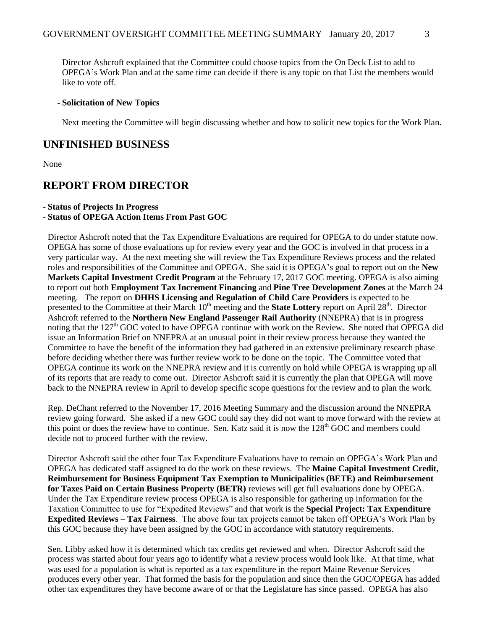Director Ashcroft explained that the Committee could choose topics from the On Deck List to add to OPEGA's Work Plan and at the same time can decide if there is any topic on that List the members would like to vote off.

#### - **Solicitation of New Topics**

Next meeting the Committee will begin discussing whether and how to solicit new topics for the Work Plan.

### **UNFINISHED BUSINESS**

None

# **REPORT FROM DIRECTOR**

#### - **Status of Projects In Progress**

#### - **Status of OPEGA Action Items From Past GOC**

Director Ashcroft noted that the Tax Expenditure Evaluations are required for OPEGA to do under statute now. OPEGA has some of those evaluations up for review every year and the GOC is involved in that process in a very particular way. At the next meeting she will review the Tax Expenditure Reviews process and the related roles and responsibilities of the Committee and OPEGA. She said it is OPEGA's goal to report out on the **New Markets Capital Investment Credit Program** at the February 17, 2017 GOC meeting. OPEGA is also aiming to report out both **Employment Tax Increment Financing** and **Pine Tree Development Zones** at the March 24 meeting. The report on **DHHS Licensing and Regulation of Child Care Providers** is expected to be presented to the Committee at their March 10<sup>th</sup> meeting and the **State Lottery** report on April 28<sup>th</sup>. Director Ashcroft referred to the **Northern New England Passenger Rail Authority** (NNEPRA) that is in progress noting that the 127<sup>th</sup> GOC voted to have OPEGA continue with work on the Review. She noted that OPEGA did issue an Information Brief on NNEPRA at an unusual point in their review process because they wanted the Committee to have the benefit of the information they had gathered in an extensive preliminary research phase before deciding whether there was further review work to be done on the topic. The Committee voted that OPEGA continue its work on the NNEPRA review and it is currently on hold while OPEGA is wrapping up all of its reports that are ready to come out. Director Ashcroft said it is currently the plan that OPEGA will move back to the NNEPRA review in April to develop specific scope questions for the review and to plan the work.

Rep. DeChant referred to the November 17, 2016 Meeting Summary and the discussion around the NNEPRA review going forward. She asked if a new GOC could say they did not want to move forward with the review at this point or does the review have to continue. Sen. Katz said it is now the 128<sup>th</sup> GOC and members could decide not to proceed further with the review.

Director Ashcroft said the other four Tax Expenditure Evaluations have to remain on OPEGA's Work Plan and OPEGA has dedicated staff assigned to do the work on these reviews. The **Maine Capital Investment Credit, Reimbursement for Business Equipment Tax Exemption to Municipalities (BETE) and Reimbursement for Taxes Paid on Certain Business Property (BETR)** reviews will get full evaluations done by OPEGA. Under the Tax Expenditure review process OPEGA is also responsible for gathering up information for the Taxation Committee to use for "Expedited Reviews" and that work is the **Special Project: Tax Expenditure Expedited Reviews – Tax Fairness**. The above four tax projects cannot be taken off OPEGA's Work Plan by this GOC because they have been assigned by the GOC in accordance with statutory requirements.

Sen. Libby asked how it is determined which tax credits get reviewed and when. Director Ashcroft said the process was started about four years ago to identify what a review process would look like. At that time, what was used for a population is what is reported as a tax expenditure in the report Maine Revenue Services produces every other year. That formed the basis for the population and since then the GOC/OPEGA has added other tax expenditures they have become aware of or that the Legislature has since passed. OPEGA has also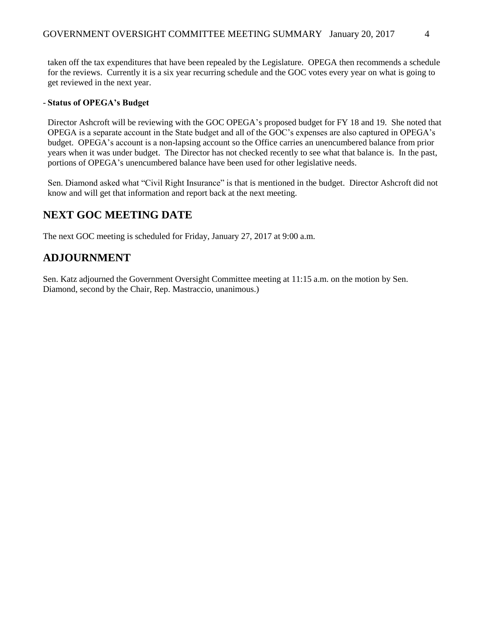taken off the tax expenditures that have been repealed by the Legislature. OPEGA then recommends a schedule for the reviews. Currently it is a six year recurring schedule and the GOC votes every year on what is going to get reviewed in the next year.

#### - **Status of OPEGA's Budget**

Director Ashcroft will be reviewing with the GOC OPEGA's proposed budget for FY 18 and 19. She noted that OPEGA is a separate account in the State budget and all of the GOC's expenses are also captured in OPEGA's budget. OPEGA's account is a non-lapsing account so the Office carries an unencumbered balance from prior years when it was under budget. The Director has not checked recently to see what that balance is. In the past, portions of OPEGA's unencumbered balance have been used for other legislative needs.

Sen. Diamond asked what "Civil Right Insurance" is that is mentioned in the budget. Director Ashcroft did not know and will get that information and report back at the next meeting.

# **NEXT GOC MEETING DATE**

The next GOC meeting is scheduled for Friday, January 27, 2017 at 9:00 a.m.

# **ADJOURNMENT**

Sen. Katz adjourned the Government Oversight Committee meeting at 11:15 a.m. on the motion by Sen. Diamond, second by the Chair, Rep. Mastraccio, unanimous.)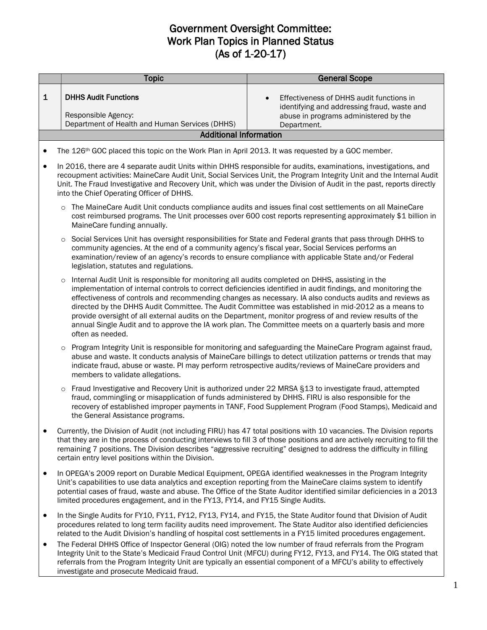# Government Oversight Committee: Work Plan Topics in Planned Status (As of 1-20-17)

|              | <b>Topic</b>                                                                                                                                                                                                                                                                                                                                                                                                                    | <b>General Scope</b>                                                                                                                                                                                                                                                                                                                                                                                                                     |
|--------------|---------------------------------------------------------------------------------------------------------------------------------------------------------------------------------------------------------------------------------------------------------------------------------------------------------------------------------------------------------------------------------------------------------------------------------|------------------------------------------------------------------------------------------------------------------------------------------------------------------------------------------------------------------------------------------------------------------------------------------------------------------------------------------------------------------------------------------------------------------------------------------|
|              |                                                                                                                                                                                                                                                                                                                                                                                                                                 |                                                                                                                                                                                                                                                                                                                                                                                                                                          |
| $\mathbf{1}$ | <b>DHHS Audit Functions</b>                                                                                                                                                                                                                                                                                                                                                                                                     | Effectiveness of DHHS audit functions in<br>identifying and addressing fraud, waste and                                                                                                                                                                                                                                                                                                                                                  |
|              | Responsible Agency:                                                                                                                                                                                                                                                                                                                                                                                                             | abuse in programs administered by the                                                                                                                                                                                                                                                                                                                                                                                                    |
|              | Department of Health and Human Services (DHHS)<br><b>Additional Information</b>                                                                                                                                                                                                                                                                                                                                                 | Department.                                                                                                                                                                                                                                                                                                                                                                                                                              |
|              |                                                                                                                                                                                                                                                                                                                                                                                                                                 |                                                                                                                                                                                                                                                                                                                                                                                                                                          |
|              | The 126 <sup>th</sup> GOC placed this topic on the Work Plan in April 2013. It was requested by a GOC member.                                                                                                                                                                                                                                                                                                                   |                                                                                                                                                                                                                                                                                                                                                                                                                                          |
| $\bullet$    | In 2016, there are 4 separate audit Units within DHHS responsible for audits, examinations, investigations, and<br>into the Chief Operating Officer of DHHS.                                                                                                                                                                                                                                                                    | recoupment activities: MaineCare Audit Unit, Social Services Unit, the Program Integrity Unit and the Internal Audit<br>Unit. The Fraud Investigative and Recovery Unit, which was under the Division of Audit in the past, reports directly                                                                                                                                                                                             |
|              | $\circ$<br>MaineCare funding annually.                                                                                                                                                                                                                                                                                                                                                                                          | The MaineCare Audit Unit conducts compliance audits and issues final cost settlements on all MaineCare<br>cost reimbursed programs. The Unit processes over 600 cost reports representing approximately \$1 billion in                                                                                                                                                                                                                   |
|              | $\circ$<br>community agencies. At the end of a community agency's fiscal year, Social Services performs an<br>examination/review of an agency's records to ensure compliance with applicable State and/or Federal<br>legislation, statutes and regulations.                                                                                                                                                                     | Social Services Unit has oversight responsibilities for State and Federal grants that pass through DHHS to                                                                                                                                                                                                                                                                                                                               |
|              | Internal Audit Unit is responsible for monitoring all audits completed on DHHS, assisting in the<br>$\circ$<br>provide oversight of all external audits on the Department, monitor progress of and review results of the<br>often as needed.                                                                                                                                                                                    | implementation of internal controls to correct deficiencies identified in audit findings, and monitoring the<br>effectiveness of controls and recommending changes as necessary. IA also conducts audits and reviews as<br>directed by the DHHS Audit Committee. The Audit Committee was established in mid-2012 as a means to<br>annual Single Audit and to approve the IA work plan. The Committee meets on a quarterly basis and more |
|              | $\circ$<br>indicate fraud, abuse or waste. PI may perform retrospective audits/reviews of MaineCare providers and<br>members to validate allegations.                                                                                                                                                                                                                                                                           | Program Integrity Unit is responsible for monitoring and safeguarding the MaineCare Program against fraud,<br>abuse and waste. It conducts analysis of MaineCare billings to detect utilization patterns or trends that may                                                                                                                                                                                                              |
|              | Fraud Investigative and Recovery Unit is authorized under 22 MRSA §13 to investigate fraud, attempted<br>$\circ$<br>fraud, commingling or misapplication of funds administered by DHHS. FIRU is also responsible for the<br>the General Assistance programs.                                                                                                                                                                    | recovery of established improper payments in TANF, Food Supplement Program (Food Stamps), Medicaid and                                                                                                                                                                                                                                                                                                                                   |
| $\bullet$    | Currently, the Division of Audit (not including FIRU) has 47 total positions with 10 vacancies. The Division reports<br>that they are in the process of conducting interviews to fill 3 of those positions and are actively recruiting to fill the<br>remaining 7 positions. The Division describes "aggressive recruiting" designed to address the difficulty in filling<br>certain entry level positions within the Division. |                                                                                                                                                                                                                                                                                                                                                                                                                                          |
| $\bullet$    | In OPEGA's 2009 report on Durable Medical Equipment, OPEGA identified weaknesses in the Program Integrity<br>Unit's capabilities to use data analytics and exception reporting from the MaineCare claims system to identify<br>limited procedures engagement, and in the FY13, FY14, and FY15 Single Audits.                                                                                                                    | potential cases of fraud, waste and abuse. The Office of the State Auditor identified similar deficiencies in a 2013                                                                                                                                                                                                                                                                                                                     |
|              | In the Single Audits for FY10, FY11, FY12, FY13, FY14, and FY15, the State Auditor found that Division of Audit                                                                                                                                                                                                                                                                                                                 |                                                                                                                                                                                                                                                                                                                                                                                                                                          |

- In the Single Audits for FY10, FY11, FY12, FY13, FY14, and FY15, the State Auditor found that Division of Audit procedures related to long term facility audits need improvement. The State Auditor also identified deficiencies related to the Audit Division's handling of hospital cost settlements in a FY15 limited procedures engagement.
- The Federal DHHS Office of Inspector General (OIG) noted the low number of fraud referrals from the Program Integrity Unit to the State's Medicaid Fraud Control Unit (MFCU) during FY12, FY13, and FY14. The OIG stated that referrals from the Program Integrity Unit are typically an essential component of a MFCU's ability to effectively investigate and prosecute Medicaid fraud.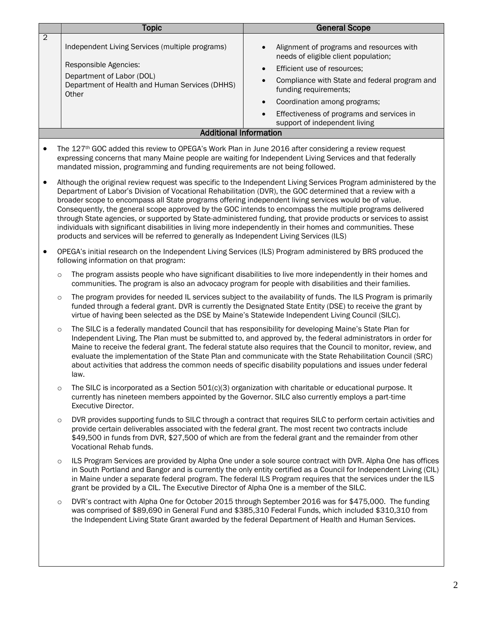|                | <b>Topic</b>                                                                                                                                                                                                                                                                                                                                                                                                                                                                                                                                | <b>General Scope</b>                                                                                                                                                                                                                                                                                                                                                                                                                                     |
|----------------|---------------------------------------------------------------------------------------------------------------------------------------------------------------------------------------------------------------------------------------------------------------------------------------------------------------------------------------------------------------------------------------------------------------------------------------------------------------------------------------------------------------------------------------------|----------------------------------------------------------------------------------------------------------------------------------------------------------------------------------------------------------------------------------------------------------------------------------------------------------------------------------------------------------------------------------------------------------------------------------------------------------|
| $\overline{2}$ | Independent Living Services (multiple programs)<br>Responsible Agencies:<br>Department of Labor (DOL)<br>Department of Health and Human Services (DHHS)<br>Other                                                                                                                                                                                                                                                                                                                                                                            | Alignment of programs and resources with<br>$\bullet$<br>needs of eligible client population;<br>Efficient use of resources;<br>$\bullet$<br>Compliance with State and federal program and<br>$\bullet$<br>funding requirements;<br>Coordination among programs;<br>$\bullet$<br>Effectiveness of programs and services in<br>$\bullet$                                                                                                                  |
|                |                                                                                                                                                                                                                                                                                                                                                                                                                                                                                                                                             | support of independent living                                                                                                                                                                                                                                                                                                                                                                                                                            |
|                | <b>Additional Information</b>                                                                                                                                                                                                                                                                                                                                                                                                                                                                                                               |                                                                                                                                                                                                                                                                                                                                                                                                                                                          |
| ٠              | The 127th GOC added this review to OPEGA's Work Plan in June 2016 after considering a review request<br>expressing concerns that many Maine people are waiting for Independent Living Services and that federally<br>mandated mission, programming and funding requirements are not being followed.                                                                                                                                                                                                                                         |                                                                                                                                                                                                                                                                                                                                                                                                                                                          |
| $\bullet$      | Department of Labor's Division of Vocational Rehabilitation (DVR), the GOC determined that a review with a<br>broader scope to encompass all State programs offering independent living services would be of value.<br>Consequently, the general scope approved by the GOC intends to encompass the multiple programs delivered<br>individuals with significant disabilities in living more independently in their homes and communities. These<br>products and services will be referred to generally as Independent Living Services (ILS) | Although the original review request was specific to the Independent Living Services Program administered by the<br>through State agencies, or supported by State-administered funding, that provide products or services to assist                                                                                                                                                                                                                      |
| $\bullet$      | OPEGA's initial research on the Independent Living Services (ILS) Program administered by BRS produced the<br>following information on that program:                                                                                                                                                                                                                                                                                                                                                                                        |                                                                                                                                                                                                                                                                                                                                                                                                                                                          |
| $\circ$        | communities. The program is also an advocacy program for people with disabilities and their families.                                                                                                                                                                                                                                                                                                                                                                                                                                       | The program assists people who have significant disabilities to live more independently in their homes and                                                                                                                                                                                                                                                                                                                                               |
| $\circ$        | virtue of having been selected as the DSE by Maine's Statewide Independent Living Council (SILC).                                                                                                                                                                                                                                                                                                                                                                                                                                           | The program provides for needed IL services subject to the availability of funds. The ILS Program is primarily<br>funded through a federal grant. DVR is currently the Designated State Entity (DSE) to receive the grant by                                                                                                                                                                                                                             |
| $\circ$        | The SILC is a federally mandated Council that has responsibility for developing Maine's State Plan for<br>law.                                                                                                                                                                                                                                                                                                                                                                                                                              | Independent Living. The Plan must be submitted to, and approved by, the federal administrators in order for<br>Maine to receive the federal grant. The federal statute also requires that the Council to monitor, review, and<br>evaluate the implementation of the State Plan and communicate with the State Rehabilitation Council (SRC)<br>about activities that address the common needs of specific disability populations and issues under federal |
| $\circ$        | The SILC is incorporated as a Section $501(c)(3)$ organization with charitable or educational purpose. It<br>currently has nineteen members appointed by the Governor. SILC also currently employs a part-time<br><b>Executive Director.</b>                                                                                                                                                                                                                                                                                                |                                                                                                                                                                                                                                                                                                                                                                                                                                                          |
| $\circ$        | provide certain deliverables associated with the federal grant. The most recent two contracts include<br>Vocational Rehab funds.                                                                                                                                                                                                                                                                                                                                                                                                            | DVR provides supporting funds to SILC through a contract that requires SILC to perform certain activities and<br>\$49,500 in funds from DVR, \$27,500 of which are from the federal grant and the remainder from other                                                                                                                                                                                                                                   |
| $\circ$        | grant be provided by a CIL. The Executive Director of Alpha One is a member of the SILC.                                                                                                                                                                                                                                                                                                                                                                                                                                                    | ILS Program Services are provided by Alpha One under a sole source contract with DVR. Alpha One has offices<br>in South Portland and Bangor and is currently the only entity certified as a Council for Independent Living (CIL)<br>in Maine under a separate federal program. The federal ILS Program requires that the services under the ILS                                                                                                          |
| $\circ$        |                                                                                                                                                                                                                                                                                                                                                                                                                                                                                                                                             | DVR's contract with Alpha One for October 2015 through September 2016 was for \$475,000. The funding<br>was comprised of \$89,690 in General Fund and \$385,310 Federal Funds, which included \$310,310 from<br>the Independent Living State Grant awarded by the federal Department of Health and Human Services.                                                                                                                                       |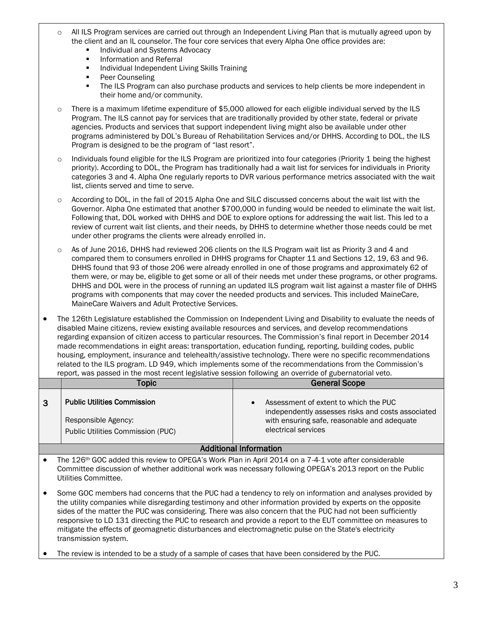- o All ILS Program services are carried out through an Independent Living Plan that is mutually agreed upon by the client and an IL counselor. The four core services that every Alpha One office provides are:
	- **Individual and Systems Advocacy**
	- **Information and Referral**
	- **Individual Independent Living Skills Training**
	- Peer Counseling
	- **The ILS Program can also purchase products and services to help clients be more independent in** their home and/or community.
- $\circ$  There is a maximum lifetime expenditure of \$5,000 allowed for each eligible individual served by the ILS Program. The ILS cannot pay for services that are traditionally provided by other state, federal or private agencies. Products and services that support independent living might also be available under other programs administered by DOL's Bureau of Rehabilitation Services and/or DHHS. According to DOL, the ILS Program is designed to be the program of "last resort".
- Individuals found eligible for the ILS Program are prioritized into four categories (Priority 1 being the highest priority). According to DOL, the Program has traditionally had a wait list for services for individuals in Priority categories 3 and 4. Alpha One regularly reports to DVR various performance metrics associated with the wait list, clients served and time to serve.
- According to DOL, in the fall of 2015 Alpha One and SILC discussed concerns about the wait list with the Governor. Alpha One estimated that another \$700,000 in funding would be needed to eliminate the wait list. Following that, DOL worked with DHHS and DOE to explore options for addressing the wait list. This led to a review of current wait list clients, and their needs, by DHHS to determine whether those needs could be met under other programs the clients were already enrolled in.
- o As of June 2016, DHHS had reviewed 206 clients on the ILS Program wait list as Priority 3 and 4 and compared them to consumers enrolled in DHHS programs for Chapter 11 and Sections 12, 19, 63 and 96. DHHS found that 93 of those 206 were already enrolled in one of those programs and approximately 62 of them were, or may be, eligible to get some or all of their needs met under these programs, or other programs. DHHS and DOL were in the process of running an updated ILS program wait list against a master file of DHHS programs with components that may cover the needed products and services. This included MaineCare, MaineCare Waivers and Adult Protective Services.
- The 126th Legislature established the Commission on Independent Living and Disability to evaluate the needs of disabled Maine citizens, review existing available resources and services, and develop recommendations regarding expansion of citizen access to particular resources. The Commission's final report in December 2014 made recommendations in eight areas: transportation, education funding, reporting, building codes, public housing, employment, insurance and telehealth/assistive technology. There were no specific recommendations related to the ILS program. LD 949, which implements some of the recommendations from the Commission's report, was passed in the most recent legislative session following an override of gubernatorial veto.

|   | Topic                                                                                          | <b>General Scope</b>                                                                                                                                             |
|---|------------------------------------------------------------------------------------------------|------------------------------------------------------------------------------------------------------------------------------------------------------------------|
| 3 | <b>Public Utilities Commission</b><br>Responsible Agency:<br>Public Utilities Commission (PUC) | Assessment of extent to which the PUC<br>independently assesses risks and costs associated<br>with ensuring safe, reasonable and adequate<br>electrical services |

#### Additional Information

- The 126th GOC added this review to OPEGA's Work Plan in April 2014 on a 7-4-1 vote after considerable Committee discussion of whether additional work was necessary following OPEGA's 2013 report on the Public Utilities Committee.
- Some GOC members had concerns that the PUC had a tendency to rely on information and analyses provided by the utility companies while disregarding testimony and other information provided by experts on the opposite sides of the matter the PUC was considering. There was also concern that the PUC had not been sufficiently responsive to LD 131 directing the PUC to research and provide a report to the EUT committee on measures to mitigate the effects of geomagnetic disturbances and electromagnetic pulse on the State's electricity transmission system.
- The review is intended to be a study of a sample of cases that have been considered by the PUC.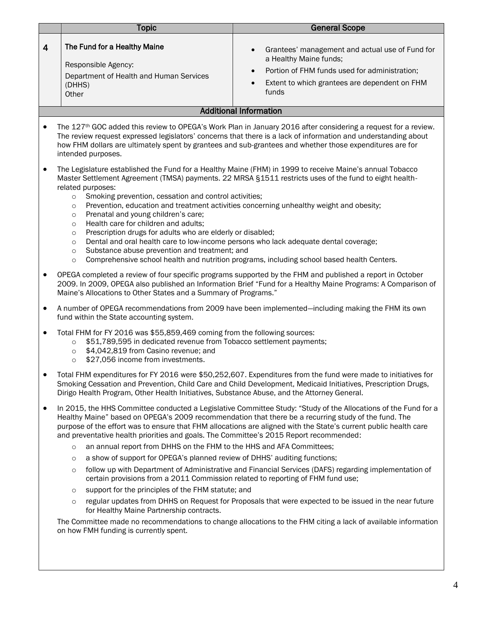|                | <b>Topic</b>                                                                                                                                                                                                                                                                                                                                                                                                                                                                                                                                                                                                                                                                                                                                                                                                                                                            | <b>General Scope</b>                                                                                                                                                                                                                                                                                                                                                                                                                                                                                                                                                                                                                                                           |  |
|----------------|-------------------------------------------------------------------------------------------------------------------------------------------------------------------------------------------------------------------------------------------------------------------------------------------------------------------------------------------------------------------------------------------------------------------------------------------------------------------------------------------------------------------------------------------------------------------------------------------------------------------------------------------------------------------------------------------------------------------------------------------------------------------------------------------------------------------------------------------------------------------------|--------------------------------------------------------------------------------------------------------------------------------------------------------------------------------------------------------------------------------------------------------------------------------------------------------------------------------------------------------------------------------------------------------------------------------------------------------------------------------------------------------------------------------------------------------------------------------------------------------------------------------------------------------------------------------|--|
| $\overline{4}$ | The Fund for a Healthy Maine<br>Responsible Agency:<br>Department of Health and Human Services<br>(DHHS)<br>Other                                                                                                                                                                                                                                                                                                                                                                                                                                                                                                                                                                                                                                                                                                                                                       | Grantees' management and actual use of Fund for<br>a Healthy Maine funds;<br>Portion of FHM funds used for administration;<br>$\bullet$<br>Extent to which grantees are dependent on FHM<br>funds                                                                                                                                                                                                                                                                                                                                                                                                                                                                              |  |
|                |                                                                                                                                                                                                                                                                                                                                                                                                                                                                                                                                                                                                                                                                                                                                                                                                                                                                         | <b>Additional Information</b>                                                                                                                                                                                                                                                                                                                                                                                                                                                                                                                                                                                                                                                  |  |
|                | The 127 <sup>th</sup> GOC added this review to OPEGA's Work Plan in January 2016 after considering a request for a review.<br>The review request expressed legislators' concerns that there is a lack of information and understanding about<br>how FHM dollars are ultimately spent by grantees and sub-grantees and whether those expenditures are for<br>intended purposes.                                                                                                                                                                                                                                                                                                                                                                                                                                                                                          |                                                                                                                                                                                                                                                                                                                                                                                                                                                                                                                                                                                                                                                                                |  |
|                | The Legislature established the Fund for a Healthy Maine (FHM) in 1999 to receive Maine's annual Tobacco<br>Master Settlement Agreement (TMSA) payments. 22 MRSA §1511 restricts uses of the fund to eight health-<br>related purposes:<br>Smoking prevention, cessation and control activities;<br>$\circ$<br>Prevention, education and treatment activities concerning unhealthy weight and obesity;<br>$\circ$<br>Prenatal and young children's care;<br>$\circ$<br>Health care for children and adults;<br>$\circ$<br>Prescription drugs for adults who are elderly or disabled;<br>$\circ$<br>Dental and oral health care to low-income persons who lack adequate dental coverage;<br>$\circ$<br>Substance abuse prevention and treatment; and<br>$\circ$<br>Comprehensive school health and nutrition programs, including school based health Centers.<br>$\circ$ |                                                                                                                                                                                                                                                                                                                                                                                                                                                                                                                                                                                                                                                                                |  |
|                | OPEGA completed a review of four specific programs supported by the FHM and published a report in October<br>2009. In 2009, OPEGA also published an Information Brief "Fund for a Healthy Maine Programs: A Comparison of<br>Maine's Allocations to Other States and a Summary of Programs."                                                                                                                                                                                                                                                                                                                                                                                                                                                                                                                                                                            |                                                                                                                                                                                                                                                                                                                                                                                                                                                                                                                                                                                                                                                                                |  |
|                | A number of OPEGA recommendations from 2009 have been implemented—including making the FHM its own<br>fund within the State accounting system.                                                                                                                                                                                                                                                                                                                                                                                                                                                                                                                                                                                                                                                                                                                          |                                                                                                                                                                                                                                                                                                                                                                                                                                                                                                                                                                                                                                                                                |  |
|                | Total FHM for FY 2016 was \$55,859,469 coming from the following sources:<br>\$51,789,595 in dedicated revenue from Tobacco settlement payments;<br>$\circ$<br>\$4,042,819 from Casino revenue; and<br>$\circ$<br>\$27,056 income from investments.<br>$\circ$                                                                                                                                                                                                                                                                                                                                                                                                                                                                                                                                                                                                          |                                                                                                                                                                                                                                                                                                                                                                                                                                                                                                                                                                                                                                                                                |  |
|                | Dirigo Health Program, Other Health Initiatives, Substance Abuse, and the Attorney General.                                                                                                                                                                                                                                                                                                                                                                                                                                                                                                                                                                                                                                                                                                                                                                             | Total FHM expenditures for FY 2016 were \$50,252,607. Expenditures from the fund were made to initiatives for<br>Smoking Cessation and Prevention, Child Care and Child Development, Medicaid Initiatives, Prescription Drugs,                                                                                                                                                                                                                                                                                                                                                                                                                                                 |  |
| ٠              | and preventative health priorities and goals. The Committee's 2015 Report recommended:<br>an annual report from DHHS on the FHM to the HHS and AFA Committees;<br>$\circ$<br>a show of support for OPEGA's planned review of DHHS' auditing functions;<br>$\circ$<br>$\circ$<br>certain provisions from a 2011 Commission related to reporting of FHM fund use;<br>support for the principles of the FHM statute; and<br>$\circ$<br>$\circ$<br>for Healthy Maine Partnership contracts.<br>on how FMH funding is currently spent.                                                                                                                                                                                                                                                                                                                                       | In 2015, the HHS Committee conducted a Legislative Committee Study: "Study of the Allocations of the Fund for a<br>Healthy Maine" based on OPEGA's 2009 recommendation that there be a recurring study of the fund. The<br>purpose of the effort was to ensure that FHM allocations are aligned with the State's current public health care<br>follow up with Department of Administrative and Financial Services (DAFS) regarding implementation of<br>regular updates from DHHS on Request for Proposals that were expected to be issued in the near future<br>The Committee made no recommendations to change allocations to the FHM citing a lack of available information |  |
|                |                                                                                                                                                                                                                                                                                                                                                                                                                                                                                                                                                                                                                                                                                                                                                                                                                                                                         |                                                                                                                                                                                                                                                                                                                                                                                                                                                                                                                                                                                                                                                                                |  |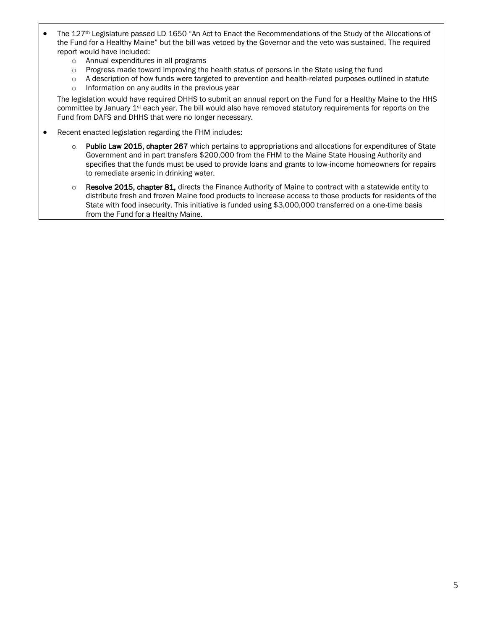- The 127th Legislature passed LD 1650 "An Act to Enact the Recommendations of the Study of the Allocations of the Fund for a Healthy Maine" but the bill was vetoed by the Governor and the veto was sustained. The required report would have included:
	- o Annual expenditures in all programs
	- o Progress made toward improving the health status of persons in the State using the fund
	- o A description of how funds were targeted to prevention and health-related purposes outlined in statute
	- o Information on any audits in the previous year

The legislation would have required DHHS to submit an annual report on the Fund for a Healthy Maine to the HHS committee by January 1st each year. The bill would also have removed statutory requirements for reports on the Fund from DAFS and DHHS that were no longer necessary.

- Recent enacted legislation regarding the FHM includes:
	- o Public Law 2015, chapter 267 which pertains to appropriations and allocations for expenditures of State Government and in part transfers \$200,000 from the FHM to the Maine State Housing Authority and specifies that the funds must be used to provide loans and grants to low-income homeowners for repairs to remediate arsenic in drinking water.
	- $\circ$  Resolve 2015, chapter 81, directs the Finance Authority of Maine to contract with a statewide entity to distribute fresh and frozen Maine food products to increase access to those products for residents of the State with food insecurity. This initiative is funded using \$3,000,000 transferred on a one-time basis from the Fund for a Healthy Maine.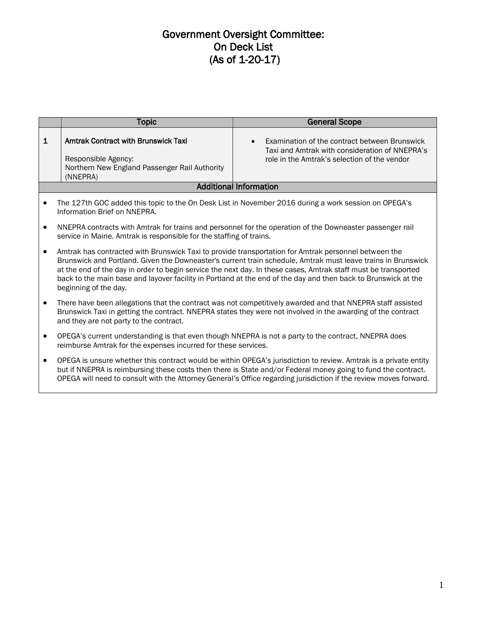# Government Oversight Committee: On Deck List (As of 1-20-17)

|              | <b>Topic</b>                                                                                                                                                           | <b>General Scope</b>                                                                                                                                                                                                                                                                                                                                   |
|--------------|------------------------------------------------------------------------------------------------------------------------------------------------------------------------|--------------------------------------------------------------------------------------------------------------------------------------------------------------------------------------------------------------------------------------------------------------------------------------------------------------------------------------------------------|
| $\mathbf{1}$ | <b>Amtrak Contract with Brunswick Taxi</b><br>Responsible Agency:<br>Northern New England Passenger Rail Authority<br>(NNEPRA)                                         | Examination of the contract between Brunswick<br>Taxi and Amtrak with consideration of NNEPRA's<br>role in the Amtrak's selection of the vendor                                                                                                                                                                                                        |
|              |                                                                                                                                                                        | <b>Additional Information</b>                                                                                                                                                                                                                                                                                                                          |
|              | Information Brief on NNEPRA.                                                                                                                                           | The 127th GOC added this topic to the On Desk List in November 2016 during a work session on OPEGA's                                                                                                                                                                                                                                                   |
| $\bullet$    | service in Maine. Amtrak is responsible for the staffing of trains.                                                                                                    | NNEPRA contracts with Amtrak for trains and personnel for the operation of the Downeaster passenger rail                                                                                                                                                                                                                                               |
| $\bullet$    | Amtrak has contracted with Brunswick Taxi to provide transportation for Amtrak personnel between the<br>beginning of the day.                                          | Brunswick and Portland. Given the Downeaster's current train schedule, Amtrak must leave trains in Brunswick<br>at the end of the day in order to begin service the next day. In these cases, Amtrak staff must be transported<br>back to the main base and layover facility in Portland at the end of the day and then back to Brunswick at the       |
| $\bullet$    | and they are not party to the contract.                                                                                                                                | There have been allegations that the contract was not competitively awarded and that NNEPRA staff assisted<br>Brunswick Taxi in getting the contract. NNEPRA states they were not involved in the awarding of the contract                                                                                                                             |
| $\bullet$    | OPEGA's current understanding is that even though NNEPRA is not a party to the contract, NNEPRA does<br>reimburse Amtrak for the expenses incurred for these services. |                                                                                                                                                                                                                                                                                                                                                        |
| $\bullet$    |                                                                                                                                                                        | OPEGA is unsure whether this contract would be within OPEGA's jurisdiction to review. Amtrak is a private entity<br>but if NNEPRA is reimbursing these costs then there is State and/or Federal money going to fund the contract.<br>OPEGA will need to consult with the Attorney General's Office regarding jurisdiction if the review moves forward. |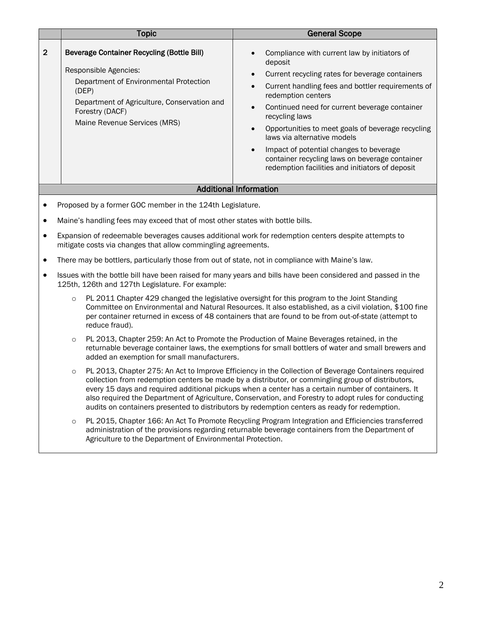|                                                           | <b>Topic</b>                                                                                                                                                                                                                    | <b>General Scope</b>                                                                                                                                                                                                                                                                                                                                                                                                                                                                                                   |
|-----------------------------------------------------------|---------------------------------------------------------------------------------------------------------------------------------------------------------------------------------------------------------------------------------|------------------------------------------------------------------------------------------------------------------------------------------------------------------------------------------------------------------------------------------------------------------------------------------------------------------------------------------------------------------------------------------------------------------------------------------------------------------------------------------------------------------------|
| $\mathbf{2}$                                              | <b>Beverage Container Recycling (Bottle Bill)</b><br>Responsible Agencies:<br>Department of Environmental Protection<br>(DEP)<br>Department of Agriculture, Conservation and<br>Forestry (DACF)<br>Maine Revenue Services (MRS) | Compliance with current law by initiators of<br>deposit<br>Current recycling rates for beverage containers<br>$\bullet$<br>Current handling fees and bottler requirements of<br>redemption centers<br>Continued need for current beverage container<br>recycling laws<br>Opportunities to meet goals of beverage recycling<br>laws via alternative models<br>Impact of potential changes to beverage<br>$\bullet$<br>container recycling laws on beverage container<br>redemption facilities and initiators of deposit |
| <b>Additional Information</b>                             |                                                                                                                                                                                                                                 |                                                                                                                                                                                                                                                                                                                                                                                                                                                                                                                        |
| Proposed by a former GOC member in the 124th Legislature. |                                                                                                                                                                                                                                 |                                                                                                                                                                                                                                                                                                                                                                                                                                                                                                                        |

- Maine's handling fees may exceed that of most other states with bottle bills.
- Expansion of redeemable beverages causes additional work for redemption centers despite attempts to mitigate costs via changes that allow commingling agreements.
- There may be bottlers, particularly those from out of state, not in compliance with Maine's law.
- Issues with the bottle bill have been raised for many years and bills have been considered and passed in the 125th, 126th and 127th Legislature. For example:
	- $\circ$  PL 2011 Chapter 429 changed the legislative oversight for this program to the Joint Standing Committee on Environmental and Natural Resources. It also established, as a civil violation, \$100 fine per container returned in excess of 48 containers that are found to be from out-of-state (attempt to reduce fraud).
	- o PL 2013, Chapter 259: An Act to Promote the Production of Maine Beverages retained, in the returnable beverage container laws, the exemptions for small bottlers of water and small brewers and added an exemption for small manufacturers.
	- o PL 2013, Chapter 275: An Act to Improve Efficiency in the Collection of Beverage Containers required collection from redemption centers be made by a distributor, or commingling group of distributors, every 15 days and required additional pickups when a center has a certain number of containers. It also required the Department of Agriculture, Conservation, and Forestry to adopt rules for conducting audits on containers presented to distributors by redemption centers as ready for redemption.
	- o PL 2015, Chapter 166: An Act To Promote Recycling Program Integration and Efficiencies transferred administration of the provisions regarding returnable beverage containers from the Department of Agriculture to the Department of Environmental Protection.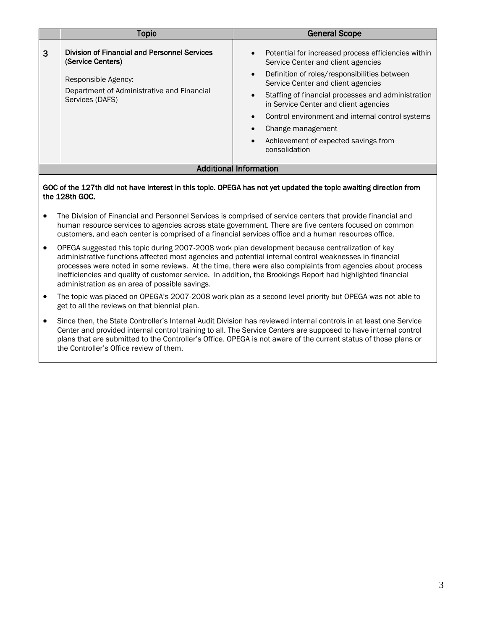|                               | Topic                                                                                                                                                            | <b>General Scope</b>                                                                                                                                                                                                                                                                                                                                                                                             |
|-------------------------------|------------------------------------------------------------------------------------------------------------------------------------------------------------------|------------------------------------------------------------------------------------------------------------------------------------------------------------------------------------------------------------------------------------------------------------------------------------------------------------------------------------------------------------------------------------------------------------------|
| 3                             | <b>Division of Financial and Personnel Services</b><br>(Service Centers)<br>Responsible Agency:<br>Department of Administrative and Financial<br>Services (DAFS) | Potential for increased process efficiencies within<br>Service Center and client agencies<br>Definition of roles/responsibilities between<br>Service Center and client agencies<br>Staffing of financial processes and administration<br>in Service Center and client agencies<br>Control environment and internal control systems<br>Change management<br>Achievement of expected savings from<br>consolidation |
| <b>Additional Information</b> |                                                                                                                                                                  |                                                                                                                                                                                                                                                                                                                                                                                                                  |
|                               |                                                                                                                                                                  |                                                                                                                                                                                                                                                                                                                                                                                                                  |

#### GOC of the 127th did not have interest in this topic. OPEGA has not yet updated the topic awaiting direction from the 128th GOC.

- The Division of Financial and Personnel Services is comprised of service centers that provide financial and human resource services to agencies across state government. There are five centers focused on common customers, and each center is comprised of a financial services office and a human resources office.
- OPEGA suggested this topic during 2007-2008 work plan development because centralization of key administrative functions affected most agencies and potential internal control weaknesses in financial processes were noted in some reviews. At the time, there were also complaints from agencies about process inefficiencies and quality of customer service. In addition, the Brookings Report had highlighted financial administration as an area of possible savings.
- The topic was placed on OPEGA's 2007-2008 work plan as a second level priority but OPEGA was not able to get to all the reviews on that biennial plan.
- Since then, the State Controller's Internal Audit Division has reviewed internal controls in at least one Service Center and provided internal control training to all. The Service Centers are supposed to have internal control plans that are submitted to the Controller's Office. OPEGA is not aware of the current status of those plans or the Controller's Office review of them.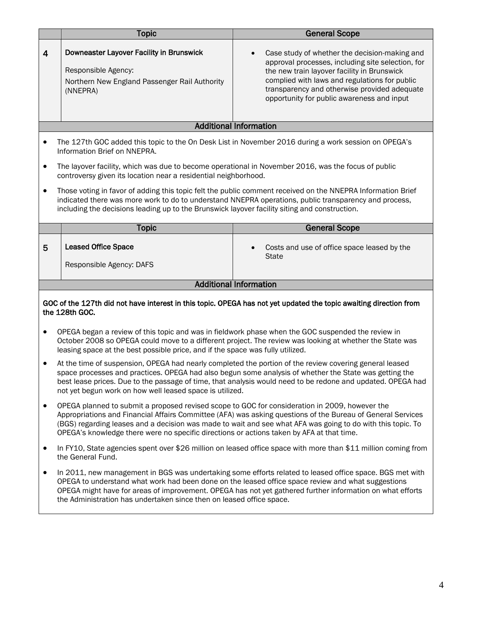|                               | <b>Topic</b>                                                                                                                                                                                | <b>General Scope</b>                                                                                                                                                                                                                                                                                                             |
|-------------------------------|---------------------------------------------------------------------------------------------------------------------------------------------------------------------------------------------|----------------------------------------------------------------------------------------------------------------------------------------------------------------------------------------------------------------------------------------------------------------------------------------------------------------------------------|
| $\overline{\mathbf{4}}$       | Downeaster Layover Facility in Brunswick<br>Responsible Agency:<br>Northern New England Passenger Rail Authority<br>(NNEPRA)                                                                | Case study of whether the decision-making and<br>$\bullet$<br>approval processes, including site selection, for<br>the new train layover facility in Brunswick<br>complied with laws and regulations for public<br>transparency and otherwise provided adequate<br>opportunity for public awareness and input                    |
|                               |                                                                                                                                                                                             | <b>Additional Information</b>                                                                                                                                                                                                                                                                                                    |
| $\bullet$<br>$\bullet$        | Information Brief on NNEPRA.<br>The layover facility, which was due to become operational in November 2016, was the focus of public                                                         | The 127th GOC added this topic to the On Desk List in November 2016 during a work session on OPEGA's                                                                                                                                                                                                                             |
|                               | controversy given its location near a residential neighborhood.                                                                                                                             |                                                                                                                                                                                                                                                                                                                                  |
| $\bullet$                     | including the decisions leading up to the Brunswick layover facility siting and construction.                                                                                               | Those voting in favor of adding this topic felt the public comment received on the NNEPRA Information Brief<br>indicated there was more work to do to understand NNEPRA operations, public transparency and process,                                                                                                             |
|                               | <b>Topic</b>                                                                                                                                                                                | <b>General Scope</b>                                                                                                                                                                                                                                                                                                             |
| 5                             | <b>Leased Office Space</b><br>Responsible Agency: DAFS                                                                                                                                      | Costs and use of office space leased by the<br><b>State</b>                                                                                                                                                                                                                                                                      |
| <b>Additional Information</b> |                                                                                                                                                                                             |                                                                                                                                                                                                                                                                                                                                  |
|                               |                                                                                                                                                                                             |                                                                                                                                                                                                                                                                                                                                  |
|                               | the 128th GOC.                                                                                                                                                                              | GOC of the 127th did not have interest in this topic. OPEGA has not yet updated the topic awaiting direction from                                                                                                                                                                                                                |
| $\bullet$                     | OPEGA began a review of this topic and was in fieldwork phase when the GOC suspended the review in<br>leasing space at the best possible price, and if the space was fully utilized.        | October 2008 so OPEGA could move to a different project. The review was looking at whether the State was                                                                                                                                                                                                                         |
| $\bullet$                     | not yet begun work on how well leased space is utilized.                                                                                                                                    | At the time of suspension, OPEGA had nearly completed the portion of the review covering general leased<br>space processes and practices. OPEGA had also begun some analysis of whether the State was getting the<br>best lease prices. Due to the passage of time, that analysis would need to be redone and updated. OPEGA had |
| $\bullet$                     | OPEGA planned to submit a proposed revised scope to GOC for consideration in 2009, however the<br>OPEGA's knowledge there were no specific directions or actions taken by AFA at that time. | Appropriations and Financial Affairs Committee (AFA) was asking questions of the Bureau of General Services<br>(BGS) regarding leases and a decision was made to wait and see what AFA was going to do with this topic. To                                                                                                       |
| $\bullet$                     | the General Fund.                                                                                                                                                                           | In FY10, State agencies spent over \$26 million on leased office space with more than \$11 million coming from                                                                                                                                                                                                                   |
| $\bullet$                     | the Administration has undertaken since then on leased office space.                                                                                                                        | In 2011, new management in BGS was undertaking some efforts related to leased office space. BGS met with<br>OPEGA to understand what work had been done on the leased office space review and what suggestions<br>OPEGA might have for areas of improvement. OPEGA has not yet gathered further information on what efforts      |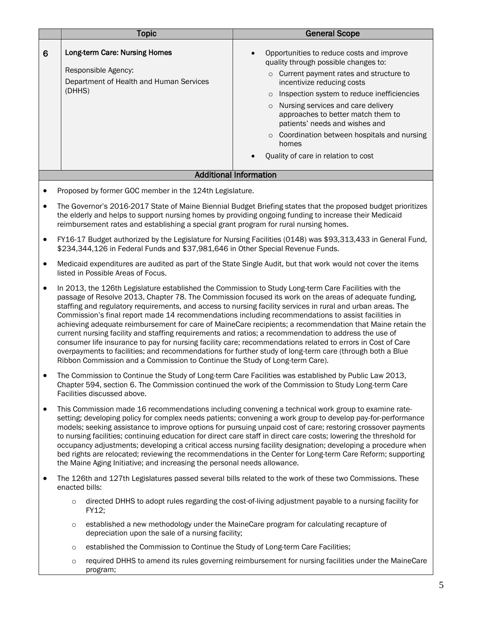|                                                                                                                                                                                                                                                                                                                 | <b>Topic</b>                                                                                              | <b>General Scope</b>                                                                                                                                                                                                                                                                                                                                                                                                                                   |
|-----------------------------------------------------------------------------------------------------------------------------------------------------------------------------------------------------------------------------------------------------------------------------------------------------------------|-----------------------------------------------------------------------------------------------------------|--------------------------------------------------------------------------------------------------------------------------------------------------------------------------------------------------------------------------------------------------------------------------------------------------------------------------------------------------------------------------------------------------------------------------------------------------------|
| 6                                                                                                                                                                                                                                                                                                               | Long-term Care: Nursing Homes<br>Responsible Agency:<br>Department of Health and Human Services<br>(DHHS) | Opportunities to reduce costs and improve<br>quality through possible changes to:<br>Current payment rates and structure to<br>$\circ$<br>incentivize reducing costs<br>Inspection system to reduce inefficiencies<br>$\circ$<br>o Nursing services and care delivery<br>approaches to better match them to<br>patients' needs and wishes and<br>Coordination between hospitals and nursing<br>$\circ$<br>homes<br>Quality of care in relation to cost |
|                                                                                                                                                                                                                                                                                                                 |                                                                                                           | <b>Additional Information</b>                                                                                                                                                                                                                                                                                                                                                                                                                          |
| Proposed by former GOC member in the 124th Legislature.                                                                                                                                                                                                                                                         |                                                                                                           |                                                                                                                                                                                                                                                                                                                                                                                                                                                        |
| The Governor's 2016-2017 State of Maine Biennial Budget Briefing states that the proposed budget prioritizes<br>the elderly and helps to support nursing homes by providing ongoing funding to increase their Medicaid<br>reimbursement rates and establishing a special grant program for rural nursing homes. |                                                                                                           |                                                                                                                                                                                                                                                                                                                                                                                                                                                        |

- FY16-17 Budget authorized by the Legislature for Nursing Facilities (0148) was \$93,313,433 in General Fund, \$234,344,126 in Federal Funds and \$37,981,646 in Other Special Revenue Funds.
- Medicaid expenditures are audited as part of the State Single Audit, but that work would not cover the items listed in Possible Areas of Focus.
- In 2013, the 126th Legislature established the Commission to Study Long-term Care Facilities with the passage of Resolve 2013, Chapter 78. The Commission focused its work on the areas of adequate funding, staffing and regulatory requirements, and access to nursing facility services in rural and urban areas. The Commission's final report made 14 recommendations including recommendations to assist facilities in achieving adequate reimbursement for care of MaineCare recipients; a recommendation that Maine retain the current nursing facility and staffing requirements and ratios; a recommendation to address the use of consumer life insurance to pay for nursing facility care; recommendations related to errors in Cost of Care overpayments to facilities; and recommendations for further study of long-term care (through both a Blue Ribbon Commission and a Commission to Continue the Study of Long-term Care).
- The Commission to Continue the Study of Long-term Care Facilities was established by Public Law 2013, Chapter 594, section 6. The Commission continued the work of the Commission to Study Long-term Care Facilities discussed above.
- This Commission made 16 recommendations including convening a technical work group to examine ratesetting; developing policy for complex needs patients; convening a work group to develop pay-for-performance models; seeking assistance to improve options for pursuing unpaid cost of care; restoring crossover payments to nursing facilities; continuing education for direct care staff in direct care costs; lowering the threshold for occupancy adjustments; developing a critical access nursing facility designation; developing a procedure when bed rights are relocated; reviewing the recommendations in the Center for Long-term Care Reform; supporting the Maine Aging Initiative; and increasing the personal needs allowance.
- The 126th and 127th Legislatures passed several bills related to the work of these two Commissions. These enacted bills:
	- o directed DHHS to adopt rules regarding the cost-of-living adjustment payable to a nursing facility for FY12;
	- $\circ$  established a new methodology under the MaineCare program for calculating recapture of depreciation upon the sale of a nursing facility;
	- o established the Commission to Continue the Study of Long-term Care Facilities;
	- o required DHHS to amend its rules governing reimbursement for nursing facilities under the MaineCare program;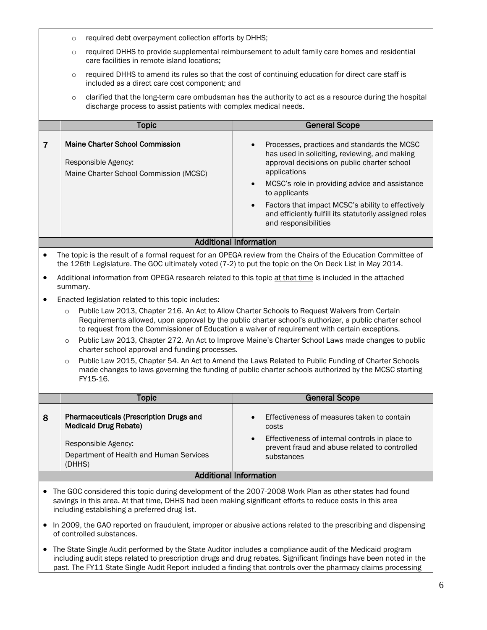- o required debt overpayment collection efforts by DHHS;
- $\circ$  required DHHS to provide supplemental reimbursement to adult family care homes and residential care facilities in remote island locations;
- o required DHHS to amend its rules so that the cost of continuing education for direct care staff is included as a direct care cost component; and
- $\circ$  clarified that the long-term care ombudsman has the authority to act as a resource during the hospital discharge process to assist patients with complex medical needs.

|                        | Topic                                                                                            | <b>General Scope</b>                                                                                                                                                                                                                                                                                                                                                               |
|------------------------|--------------------------------------------------------------------------------------------------|------------------------------------------------------------------------------------------------------------------------------------------------------------------------------------------------------------------------------------------------------------------------------------------------------------------------------------------------------------------------------------|
|                        | Maine Charter School Commission<br>Responsible Agency:<br>Maine Charter School Commission (MCSC) | Processes, practices and standards the MCSC<br>has used in soliciting, reviewing, and making<br>approval decisions on public charter school<br>applications<br>MCSC's role in providing advice and assistance<br>to applicants<br>Factors that impact MCSC's ability to effectively<br>$\bullet$<br>and efficiently fulfill its statutorily assigned roles<br>and responsibilities |
| Additional Information |                                                                                                  |                                                                                                                                                                                                                                                                                                                                                                                    |

- The topic is the result of a formal request for an OPEGA review from the Chairs of the Education Committee of the 126th Legislature. The GOC ultimately voted (7-2) to put the topic on the On Deck List in May 2014.
- Additional information from OPEGA research related to this topic at that time is included in the attached summary.
- Enacted legislation related to this topic includes:
	- o Public Law 2013, Chapter 216. An Act to Allow Charter Schools to Request Waivers from Certain Requirements allowed, upon approval by the public charter school's authorizer, a public charter school to request from the Commissioner of Education a waiver of requirement with certain exceptions.
	- o Public Law 2013, Chapter 272. An Act to Improve Maine's Charter School Laws made changes to public charter school approval and funding processes.
	- o Public Law 2015, Chapter 54. An Act to Amend the Laws Related to Public Funding of Charter Schools made changes to laws governing the funding of public charter schools authorized by the MCSC starting FY15-16.

|                               | Topic                                                                          | <b>General Scope</b>                                                                                                       |
|-------------------------------|--------------------------------------------------------------------------------|----------------------------------------------------------------------------------------------------------------------------|
| 8                             | <b>Pharmaceuticals (Prescription Drugs and</b><br><b>Medicaid Drug Rebate)</b> | Effectiveness of measures taken to contain<br>$\bullet$<br>costs                                                           |
|                               | Responsible Agency:<br>Department of Health and Human Services<br>(DHHS)       | Effectiveness of internal controls in place to<br>$\bullet$<br>prevent fraud and abuse related to controlled<br>substances |
| <b>Additional Information</b> |                                                                                |                                                                                                                            |

- The GOC considered this topic during development of the 2007-2008 Work Plan as other states had found savings in this area. At that time, DHHS had been making significant efforts to reduce costs in this area including establishing a preferred drug list.
- In 2009, the GAO reported on fraudulent, improper or abusive actions related to the prescribing and dispensing of controlled substances.
- The State Single Audit performed by the State Auditor includes a compliance audit of the Medicaid program including audit steps related to prescription drugs and drug rebates. Significant findings have been noted in the past. The FY11 State Single Audit Report included a finding that controls over the pharmacy claims processing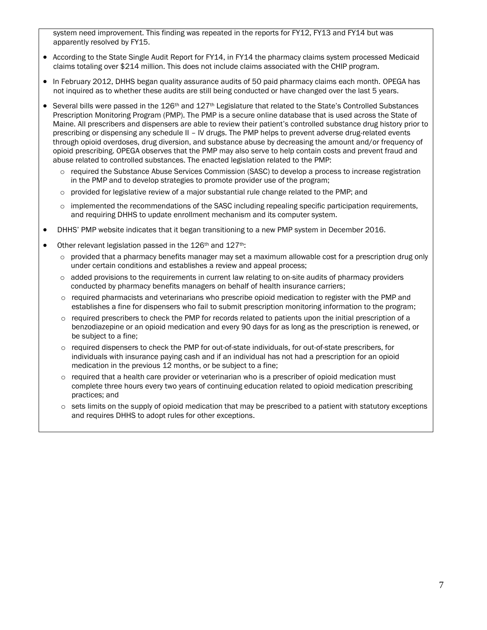system need improvement. This finding was repeated in the reports for FY12, FY13 and FY14 but was apparently resolved by FY15.

- According to the State Single Audit Report for FY14, in FY14 the pharmacy claims system processed Medicaid claims totaling over \$214 million. This does not include claims associated with the CHIP program.
- In February 2012, DHHS began quality assurance audits of 50 paid pharmacy claims each month. OPEGA has not inquired as to whether these audits are still being conducted or have changed over the last 5 years.
- Several bills were passed in the  $126th$  and  $127th$  Legislature that related to the State's Controlled Substances Prescription Monitoring Program (PMP). The PMP is a secure online database that is used across the State of Maine. All prescribers and dispensers are able to review their patient's controlled substance drug history prior to prescribing or dispensing any schedule II – IV drugs. The PMP helps to prevent adverse drug-related events through opioid overdoses, drug diversion, and substance abuse by decreasing the amount and/or frequency of opioid prescribing. OPEGA observes that the PMP may also serve to help contain costs and prevent fraud and abuse related to controlled substances. The enacted legislation related to the PMP:
	- o required the Substance Abuse Services Commission (SASC) to develop a process to increase registration in the PMP and to develop strategies to promote provider use of the program;
	- $\circ$  provided for legislative review of a major substantial rule change related to the PMP; and
	- $\circ$  implemented the recommendations of the SASC including repealing specific participation requirements, and requiring DHHS to update enrollment mechanism and its computer system.
- DHHS' PMP website indicates that it began transitioning to a new PMP system in December 2016.
- Other relevant legislation passed in the 126<sup>th</sup> and 127<sup>th</sup>:
	- $\circ$  provided that a pharmacy benefits manager may set a maximum allowable cost for a prescription drug only under certain conditions and establishes a review and appeal process;
	- $\circ$  added provisions to the requirements in current law relating to on-site audits of pharmacy providers conducted by pharmacy benefits managers on behalf of health insurance carriers;
	- $\circ$  required pharmacists and veterinarians who prescribe opioid medication to register with the PMP and establishes a fine for dispensers who fail to submit prescription monitoring information to the program;
	- $\circ$  required prescribers to check the PMP for records related to patients upon the initial prescription of a benzodiazepine or an opioid medication and every 90 days for as long as the prescription is renewed, or be subject to a fine;
	- o required dispensers to check the PMP for out-of-state individuals, for out-of-state prescribers, for individuals with insurance paying cash and if an individual has not had a prescription for an opioid medication in the previous 12 months, or be subject to a fine;
	- o required that a health care provider or veterinarian who is a prescriber of opioid medication must complete three hours every two years of continuing education related to opioid medication prescribing practices; and
	- $\circ$  sets limits on the supply of opioid medication that may be prescribed to a patient with statutory exceptions and requires DHHS to adopt rules for other exceptions.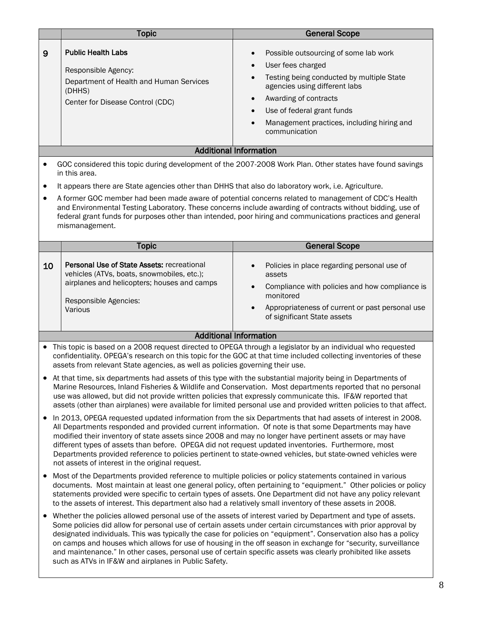|                                                                                                                                                                                                                                                                                                                                                                                                                                                                                                                                                                                                                                                                                                                                                                                                                                                                                                                                                                                                                                                                                                                                                                                                                                                                                                                                                                                                            | <b>Topic</b>                                                                                                                                                                                                                                                                                                                                                                                                                                                                                                                                                                                                                                                                                                                                                                                                                                                                                                                                                                                                                                                                                            | <b>General Scope</b>                                                                                                                                                                                                                                                                     |  |  |
|------------------------------------------------------------------------------------------------------------------------------------------------------------------------------------------------------------------------------------------------------------------------------------------------------------------------------------------------------------------------------------------------------------------------------------------------------------------------------------------------------------------------------------------------------------------------------------------------------------------------------------------------------------------------------------------------------------------------------------------------------------------------------------------------------------------------------------------------------------------------------------------------------------------------------------------------------------------------------------------------------------------------------------------------------------------------------------------------------------------------------------------------------------------------------------------------------------------------------------------------------------------------------------------------------------------------------------------------------------------------------------------------------------|---------------------------------------------------------------------------------------------------------------------------------------------------------------------------------------------------------------------------------------------------------------------------------------------------------------------------------------------------------------------------------------------------------------------------------------------------------------------------------------------------------------------------------------------------------------------------------------------------------------------------------------------------------------------------------------------------------------------------------------------------------------------------------------------------------------------------------------------------------------------------------------------------------------------------------------------------------------------------------------------------------------------------------------------------------------------------------------------------------|------------------------------------------------------------------------------------------------------------------------------------------------------------------------------------------------------------------------------------------------------------------------------------------|--|--|
| 9                                                                                                                                                                                                                                                                                                                                                                                                                                                                                                                                                                                                                                                                                                                                                                                                                                                                                                                                                                                                                                                                                                                                                                                                                                                                                                                                                                                                          | <b>Public Health Labs</b><br>Responsible Agency:<br>Department of Health and Human Services<br>(DHHS)<br>Center for Disease Control (CDC)                                                                                                                                                                                                                                                                                                                                                                                                                                                                                                                                                                                                                                                                                                                                                                                                                                                                                                                                                               | Possible outsourcing of some lab work<br>$\bullet$<br>User fees charged<br>Testing being conducted by multiple State<br>agencies using different labs<br>Awarding of contracts<br>$\bullet$<br>Use of federal grant funds<br>Management practices, including hiring and<br>communication |  |  |
|                                                                                                                                                                                                                                                                                                                                                                                                                                                                                                                                                                                                                                                                                                                                                                                                                                                                                                                                                                                                                                                                                                                                                                                                                                                                                                                                                                                                            |                                                                                                                                                                                                                                                                                                                                                                                                                                                                                                                                                                                                                                                                                                                                                                                                                                                                                                                                                                                                                                                                                                         | <b>Additional Information</b>                                                                                                                                                                                                                                                            |  |  |
| GOC considered this topic during development of the 2007-2008 Work Plan. Other states have found savings<br>in this area.<br>It appears there are State agencies other than DHHS that also do laboratory work, i.e. Agriculture.<br>٠<br>A former GOC member had been made aware of potential concerns related to management of CDC's Health<br>and Environmental Testing Laboratory. These concerns include awarding of contracts without bidding, use of<br>federal grant funds for purposes other than intended, poor hiring and communications practices and general<br>mismanagement.                                                                                                                                                                                                                                                                                                                                                                                                                                                                                                                                                                                                                                                                                                                                                                                                                 |                                                                                                                                                                                                                                                                                                                                                                                                                                                                                                                                                                                                                                                                                                                                                                                                                                                                                                                                                                                                                                                                                                         |                                                                                                                                                                                                                                                                                          |  |  |
|                                                                                                                                                                                                                                                                                                                                                                                                                                                                                                                                                                                                                                                                                                                                                                                                                                                                                                                                                                                                                                                                                                                                                                                                                                                                                                                                                                                                            | <b>Topic</b>                                                                                                                                                                                                                                                                                                                                                                                                                                                                                                                                                                                                                                                                                                                                                                                                                                                                                                                                                                                                                                                                                            | <b>General Scope</b>                                                                                                                                                                                                                                                                     |  |  |
| 10                                                                                                                                                                                                                                                                                                                                                                                                                                                                                                                                                                                                                                                                                                                                                                                                                                                                                                                                                                                                                                                                                                                                                                                                                                                                                                                                                                                                         | Personal Use of State Assets: recreational<br>vehicles (ATVs, boats, snowmobiles, etc.);<br>airplanes and helicopters; houses and camps<br>Responsible Agencies:<br>Various                                                                                                                                                                                                                                                                                                                                                                                                                                                                                                                                                                                                                                                                                                                                                                                                                                                                                                                             | Policies in place regarding personal use of<br>assets<br>Compliance with policies and how compliance is<br>monitored<br>Appropriateness of current or past personal use<br>$\bullet$<br>of significant State assets                                                                      |  |  |
|                                                                                                                                                                                                                                                                                                                                                                                                                                                                                                                                                                                                                                                                                                                                                                                                                                                                                                                                                                                                                                                                                                                                                                                                                                                                                                                                                                                                            |                                                                                                                                                                                                                                                                                                                                                                                                                                                                                                                                                                                                                                                                                                                                                                                                                                                                                                                                                                                                                                                                                                         | <b>Additional Information</b>                                                                                                                                                                                                                                                            |  |  |
| This topic is based on a 2008 request directed to OPEGA through a legislator by an individual who requested<br>$\bullet$<br>confidentiality. OPEGA's research on this topic for the GOC at that time included collecting inventories of these<br>assets from relevant State agencies, as well as policies governing their use.<br>At that time, six departments had assets of this type with the substantial majority being in Departments of<br>Marine Resources, Inland Fisheries & Wildlife and Conservation. Most departments reported that no personal<br>use was allowed, but did not provide written policies that expressly communicate this. IF&W reported that<br>assets (other than airplanes) were available for limited personal use and provided written policies to that affect.<br>In 2013, OPEGA requested updated information from the six Departments that had assets of interest in 2008.<br>All Departments responded and provided current information. Of note is that some Departments may have<br>modified their inventory of state assets since 2008 and may no longer have pertinent assets or may have<br>different types of assets than before. OPEGA did not request updated inventories. Furthermore, most<br>Departments provided reference to policies pertinent to state-owned vehicles, but state-owned vehicles were<br>not assets of interest in the original request. |                                                                                                                                                                                                                                                                                                                                                                                                                                                                                                                                                                                                                                                                                                                                                                                                                                                                                                                                                                                                                                                                                                         |                                                                                                                                                                                                                                                                                          |  |  |
| ٠                                                                                                                                                                                                                                                                                                                                                                                                                                                                                                                                                                                                                                                                                                                                                                                                                                                                                                                                                                                                                                                                                                                                                                                                                                                                                                                                                                                                          | Most of the Departments provided reference to multiple policies or policy statements contained in various<br>documents. Most maintain at least one general policy, often pertaining to "equipment." Other policies or policy<br>statements provided were specific to certain types of assets. One Department did not have any policy relevant<br>to the assets of interest. This department also had a relatively small inventory of these assets in 2008.<br>Whether the policies allowed personal use of the assets of interest varied by Department and type of assets.<br>Some policies did allow for personal use of certain assets under certain circumstances with prior approval by<br>designated individuals. This was typically the case for policies on "equipment". Conservation also has a policy<br>on camps and houses which allows for use of housing in the off season in exchange for "security, surveillance<br>and maintenance." In other cases, personal use of certain specific assets was clearly prohibited like assets<br>such as ATVs in IF&W and airplanes in Public Safety. |                                                                                                                                                                                                                                                                                          |  |  |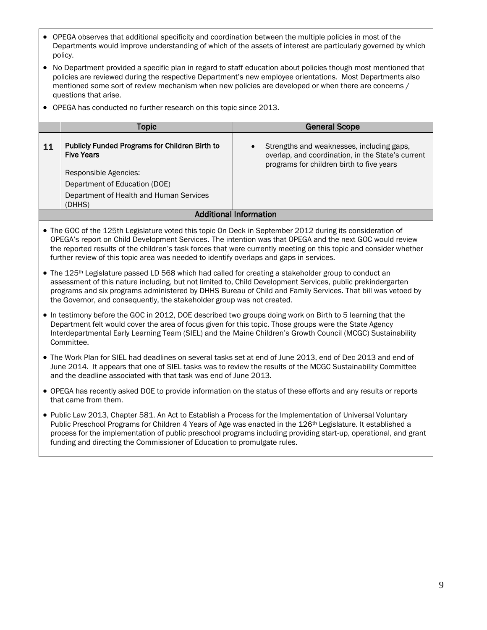- OPEGA observes that additional specificity and coordination between the multiple policies in most of the Departments would improve understanding of which of the assets of interest are particularly governed by which policy.
- No Department provided a specific plan in regard to staff education about policies though most mentioned that policies are reviewed during the respective Department's new employee orientations. Most Departments also mentioned some sort of review mechanism when new policies are developed or when there are concerns / questions that arise.
- OPEGA has conducted no further research on this topic since 2013.

|                        | Topic                                                               | <b>General Scope</b>                                                                                                                        |  |
|------------------------|---------------------------------------------------------------------|---------------------------------------------------------------------------------------------------------------------------------------------|--|
| 11                     | Publicly Funded Programs for Children Birth to<br><b>Five Years</b> | Strengths and weaknesses, including gaps,<br>overlap, and coordination, in the State's current<br>programs for children birth to five years |  |
|                        | Responsible Agencies:                                               |                                                                                                                                             |  |
|                        | Department of Education (DOE)                                       |                                                                                                                                             |  |
|                        | Department of Health and Human Services<br>(DHHS)                   |                                                                                                                                             |  |
| Additional Information |                                                                     |                                                                                                                                             |  |

- The GOC of the 125th Legislature voted this topic On Deck in September 2012 during its consideration of OPEGA's report on Child Development Services. The intention was that OPEGA and the next GOC would review the reported results of the children's task forces that were currently meeting on this topic and consider whether further review of this topic area was needed to identify overlaps and gaps in services.
- The 125<sup>th</sup> Legislature passed LD 568 which had called for creating a stakeholder group to conduct an assessment of this nature including, but not limited to, Child Development Services, public prekindergarten programs and six programs administered by DHHS Bureau of Child and Family Services. That bill was vetoed by the Governor, and consequently, the stakeholder group was not created.
- In testimony before the GOC in 2012, DOE described two groups doing work on Birth to 5 learning that the Department felt would cover the area of focus given for this topic. Those groups were the State Agency Interdepartmental Early Learning Team (SIEL) and the Maine Children's Growth Council (MCGC) Sustainability Committee.
- The Work Plan for SIEL had deadlines on several tasks set at end of June 2013, end of Dec 2013 and end of June 2014. It appears that one of SIEL tasks was to review the results of the MCGC Sustainability Committee and the deadline associated with that task was end of June 2013.
- OPEGA has recently asked DOE to provide information on the status of these efforts and any results or reports that came from them.
- Public Law 2013, Chapter 581. An Act to Establish a Process for the Implementation of Universal Voluntary Public Preschool Programs for Children 4 Years of Age was enacted in the 126<sup>th</sup> Legislature. It established a process for the implementation of public preschool programs including providing start-up, operational, and grant funding and directing the Commissioner of Education to promulgate rules.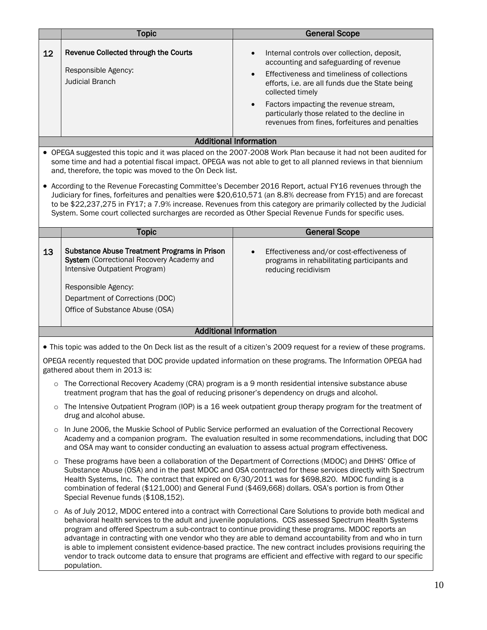|                                                                                                                                                                                                                                                                                                                                                                                                                                                                                                                                                                                                                                                                                                                                                          | <b>Topic</b>                                                                                                                                                                                                                   | <b>General Scope</b>                                                                                                                                                                                                                                                                                                                                                                          |  |
|----------------------------------------------------------------------------------------------------------------------------------------------------------------------------------------------------------------------------------------------------------------------------------------------------------------------------------------------------------------------------------------------------------------------------------------------------------------------------------------------------------------------------------------------------------------------------------------------------------------------------------------------------------------------------------------------------------------------------------------------------------|--------------------------------------------------------------------------------------------------------------------------------------------------------------------------------------------------------------------------------|-----------------------------------------------------------------------------------------------------------------------------------------------------------------------------------------------------------------------------------------------------------------------------------------------------------------------------------------------------------------------------------------------|--|
| 12                                                                                                                                                                                                                                                                                                                                                                                                                                                                                                                                                                                                                                                                                                                                                       | Revenue Collected through the Courts<br>Responsible Agency:<br><b>Judicial Branch</b>                                                                                                                                          | Internal controls over collection, deposit,<br>$\bullet$<br>accounting and safeguarding of revenue<br>Effectiveness and timeliness of collections<br>$\bullet$<br>efforts, i.e. are all funds due the State being<br>collected timely<br>Factors impacting the revenue stream,<br>$\bullet$<br>particularly those related to the decline in<br>revenues from fines, forfeitures and penalties |  |
|                                                                                                                                                                                                                                                                                                                                                                                                                                                                                                                                                                                                                                                                                                                                                          |                                                                                                                                                                                                                                | <b>Additional Information</b>                                                                                                                                                                                                                                                                                                                                                                 |  |
| • OPEGA suggested this topic and it was placed on the 2007-2008 Work Plan because it had not been audited for<br>some time and had a potential fiscal impact. OPEGA was not able to get to all planned reviews in that biennium<br>and, therefore, the topic was moved to the On Deck list.<br>• According to the Revenue Forecasting Committee's December 2016 Report, actual FY16 revenues through the<br>Judiciary for fines, forfeitures and penalties were \$20,610,571 (an 8.8% decrease from FY15) and are forecast<br>to be \$22,237,275 in FY17; a 7.9% increase. Revenues from this category are primarily collected by the Judicial<br>System. Some court collected surcharges are recorded as Other Special Revenue Funds for specific uses. |                                                                                                                                                                                                                                |                                                                                                                                                                                                                                                                                                                                                                                               |  |
|                                                                                                                                                                                                                                                                                                                                                                                                                                                                                                                                                                                                                                                                                                                                                          | <b>Topic</b>                                                                                                                                                                                                                   | <b>General Scope</b>                                                                                                                                                                                                                                                                                                                                                                          |  |
| 13                                                                                                                                                                                                                                                                                                                                                                                                                                                                                                                                                                                                                                                                                                                                                       | <b>Substance Abuse Treatment Programs in Prison</b><br>System (Correctional Recovery Academy and<br>Intensive Outpatient Program)<br>Responsible Agency:<br>Department of Corrections (DOC)<br>Office of Substance Abuse (OSA) | Effectiveness and/or cost-effectiveness of<br>$\bullet$<br>programs in rehabilitating participants and<br>reducing recidivism                                                                                                                                                                                                                                                                 |  |
| <b>Additional Information</b>                                                                                                                                                                                                                                                                                                                                                                                                                                                                                                                                                                                                                                                                                                                            |                                                                                                                                                                                                                                |                                                                                                                                                                                                                                                                                                                                                                                               |  |
| • This topic was added to the On Deck list as the result of a citizen's 2009 request for a review of these programs.<br>OPEGA recently requested that DOC provide updated information on these programs. The Information OPEGA had<br>gathered about them in 2013 is:                                                                                                                                                                                                                                                                                                                                                                                                                                                                                    |                                                                                                                                                                                                                                |                                                                                                                                                                                                                                                                                                                                                                                               |  |
| The Correctional Recovery Academy (CRA) program is a 9 month residential intensive substance abuse<br>$\circ$<br>treatment program that has the goal of reducing prisoner's dependency on drugs and alcohol.                                                                                                                                                                                                                                                                                                                                                                                                                                                                                                                                             |                                                                                                                                                                                                                                |                                                                                                                                                                                                                                                                                                                                                                                               |  |

- o The Intensive Outpatient Program (IOP) is a 16 week outpatient group therapy program for the treatment of drug and alcohol abuse.
- o In June 2006, the Muskie School of Public Service performed an evaluation of the Correctional Recovery Academy and a companion program. The evaluation resulted in some recommendations, including that DOC and OSA may want to consider conducting an evaluation to assess actual program effectiveness.
- o These programs have been a collaboration of the Department of Corrections (MDOC) and DHHS' Office of Substance Abuse (OSA) and in the past MDOC and OSA contracted for these services directly with Spectrum Health Systems, Inc. The contract that expired on 6/30/2011 was for \$698,820. MDOC funding is a combination of federal (\$121,000) and General Fund (\$469,668) dollars. OSA's portion is from Other Special Revenue funds (\$108,152).
- o As of July 2012, MDOC entered into a contract with Correctional Care Solutions to provide both medical and behavioral health services to the adult and juvenile populations. CCS assessed Spectrum Health Systems program and offered Spectrum a sub-contract to continue providing these programs. MDOC reports an advantage in contracting with one vendor who they are able to demand accountability from and who in turn is able to implement consistent evidence-based practice. The new contract includes provisions requiring the vendor to track outcome data to ensure that programs are efficient and effective with regard to our specific population.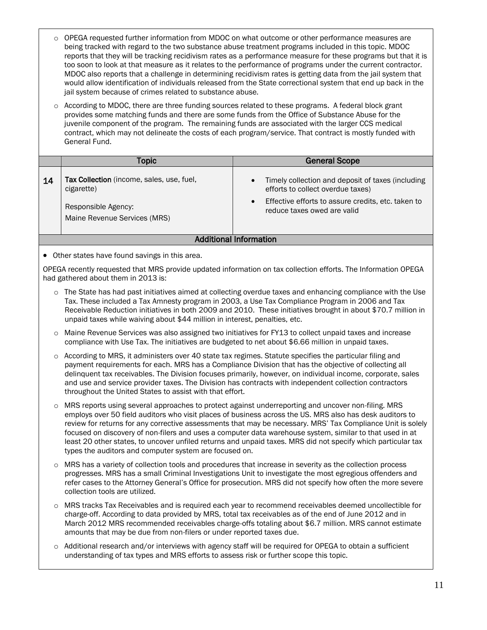- o OPEGA requested further information from MDOC on what outcome or other performance measures are being tracked with regard to the two substance abuse treatment programs included in this topic. MDOC reports that they will be tracking recidivism rates as a performance measure for these programs but that it is too soon to look at that measure as it relates to the performance of programs under the current contractor. MDOC also reports that a challenge in determining recidivism rates is getting data from the jail system that would allow identification of individuals released from the State correctional system that end up back in the jail system because of crimes related to substance abuse.
- o According to MDOC, there are three funding sources related to these programs. A federal block grant provides some matching funds and there are some funds from the Office of Substance Abuse for the juvenile component of the program. The remaining funds are associated with the larger CCS medical contract, which may not delineate the costs of each program/service. That contract is mostly funded with General Fund.

|    | Topic                                                                                                          | <b>General Scope</b>                                                                                                                                                                                  |
|----|----------------------------------------------------------------------------------------------------------------|-------------------------------------------------------------------------------------------------------------------------------------------------------------------------------------------------------|
| 14 | Tax Collection (income, sales, use, fuel,<br>cigarette)<br>Responsible Agency:<br>Maine Revenue Services (MRS) | Timely collection and deposit of taxes (including<br>$\bullet$<br>efforts to collect overdue taxes)<br>Effective efforts to assure credits, etc. taken to<br>$\bullet$<br>reduce taxes owed are valid |
|    |                                                                                                                | Additional Information                                                                                                                                                                                |

Other states have found savings in this area.

OPEGA recently requested that MRS provide updated information on tax collection efforts. The Information OPEGA had gathered about them in 2013 is:

- o The State has had past initiatives aimed at collecting overdue taxes and enhancing compliance with the Use Tax. These included a Tax Amnesty program in 2003, a Use Tax Compliance Program in 2006 and Tax Receivable Reduction initiatives in both 2009 and 2010. These initiatives brought in about \$70.7 million in unpaid taxes while waiving about \$44 million in interest, penalties, etc.
- o Maine Revenue Services was also assigned two initiatives for FY13 to collect unpaid taxes and increase compliance with Use Tax. The initiatives are budgeted to net about \$6.66 million in unpaid taxes.
- o According to MRS, it administers over 40 state tax regimes. Statute specifies the particular filing and payment requirements for each. MRS has a Compliance Division that has the objective of collecting all delinquent tax receivables. The Division focuses primarily, however, on individual income, corporate, sales and use and service provider taxes. The Division has contracts with independent collection contractors throughout the United States to assist with that effort.
- o MRS reports using several approaches to protect against underreporting and uncover non-filing. MRS employs over 50 field auditors who visit places of business across the US. MRS also has desk auditors to review for returns for any corrective assessments that may be necessary. MRS' Tax Compliance Unit is solely focused on discovery of non-filers and uses a computer data warehouse system, similar to that used in at least 20 other states, to uncover unfiled returns and unpaid taxes. MRS did not specify which particular tax types the auditors and computer system are focused on.
- o MRS has a variety of collection tools and procedures that increase in severity as the collection process progresses. MRS has a small Criminal Investigations Unit to investigate the most egregious offenders and refer cases to the Attorney General's Office for prosecution. MRS did not specify how often the more severe collection tools are utilized.
- o MRS tracks Tax Receivables and is required each year to recommend receivables deemed uncollectible for charge-off. According to data provided by MRS, total tax receivables as of the end of June 2012 and in March 2012 MRS recommended receivables charge-offs totaling about \$6.7 million. MRS cannot estimate amounts that may be due from non-filers or under reported taxes due.
- o Additional research and/or interviews with agency staff will be required for OPEGA to obtain a sufficient understanding of tax types and MRS efforts to assess risk or further scope this topic.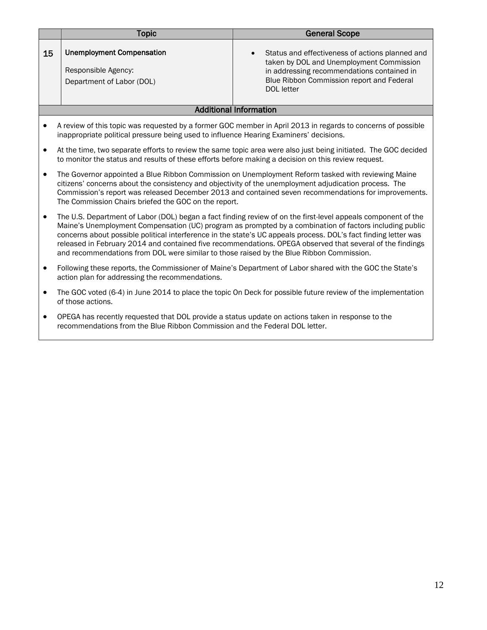|                                                                                                                                                                                                                                                                                                                                                                                                                                               | <b>Topic</b>                                                                                                                                                                                                                                                                                                                                                                                                                                                                                                                                         | <b>General Scope</b>                                                                                                                                                                                              |  |
|-----------------------------------------------------------------------------------------------------------------------------------------------------------------------------------------------------------------------------------------------------------------------------------------------------------------------------------------------------------------------------------------------------------------------------------------------|------------------------------------------------------------------------------------------------------------------------------------------------------------------------------------------------------------------------------------------------------------------------------------------------------------------------------------------------------------------------------------------------------------------------------------------------------------------------------------------------------------------------------------------------------|-------------------------------------------------------------------------------------------------------------------------------------------------------------------------------------------------------------------|--|
| 15                                                                                                                                                                                                                                                                                                                                                                                                                                            | <b>Unemployment Compensation</b><br>Responsible Agency:<br>Department of Labor (DOL)                                                                                                                                                                                                                                                                                                                                                                                                                                                                 | Status and effectiveness of actions planned and<br>$\bullet$<br>taken by DOL and Unemployment Commission<br>in addressing recommendations contained in<br>Blue Ribbon Commission report and Federal<br>DOL letter |  |
| <b>Additional Information</b>                                                                                                                                                                                                                                                                                                                                                                                                                 |                                                                                                                                                                                                                                                                                                                                                                                                                                                                                                                                                      |                                                                                                                                                                                                                   |  |
| A review of this topic was requested by a former GOC member in April 2013 in regards to concerns of possible<br>inappropriate political pressure being used to influence Hearing Examiners' decisions.<br>At the time, two separate efforts to review the same topic area were also just being initiated. The GOC decided<br>$\bullet$<br>to monitor the status and results of these efforts before making a decision on this review request. |                                                                                                                                                                                                                                                                                                                                                                                                                                                                                                                                                      |                                                                                                                                                                                                                   |  |
| $\bullet$                                                                                                                                                                                                                                                                                                                                                                                                                                     | The Governor appointed a Blue Ribbon Commission on Unemployment Reform tasked with reviewing Maine<br>citizens' concerns about the consistency and objectivity of the unemployment adjudication process. The<br>Commission's report was released December 2013 and contained seven recommendations for improvements.<br>The Commission Chairs briefed the GOC on the report.                                                                                                                                                                         |                                                                                                                                                                                                                   |  |
| $\bullet$                                                                                                                                                                                                                                                                                                                                                                                                                                     | The U.S. Department of Labor (DOL) began a fact finding review of on the first-level appeals component of the<br>Maine's Unemployment Compensation (UC) program as prompted by a combination of factors including public<br>concerns about possible political interference in the state's UC appeals process. DOL's fact finding letter was<br>released in February 2014 and contained five recommendations. OPEGA observed that several of the findings<br>and recommendations from DOL were similar to those raised by the Blue Ribbon Commission. |                                                                                                                                                                                                                   |  |

- Following these reports, the Commissioner of Maine's Department of Labor shared with the GOC the State's action plan for addressing the recommendations.
- The GOC voted (6-4) in June 2014 to place the topic On Deck for possible future review of the implementation of those actions.
- OPEGA has recently requested that DOL provide a status update on actions taken in response to the recommendations from the Blue Ribbon Commission and the Federal DOL letter.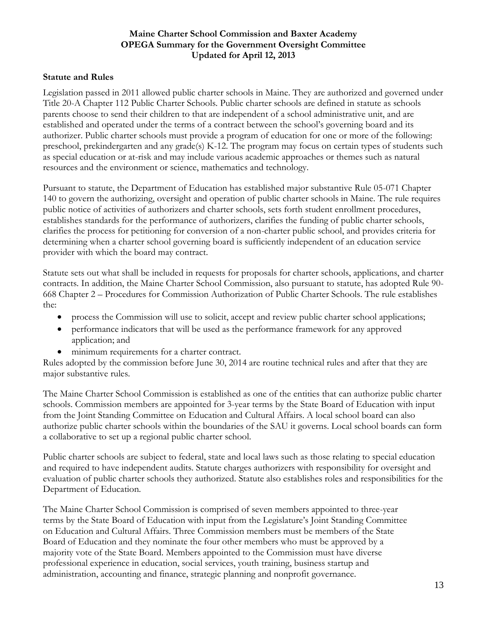### **Maine Charter School Commission and Baxter Academy OPEGA Summary for the Government Oversight Committee Updated for April 12, 2013**

### **Statute and Rules**

Legislation passed in 2011 allowed public charter schools in Maine. They are authorized and governed under Title 20-A Chapter 112 Public Charter Schools. Public charter schools are defined in statute as schools parents choose to send their children to that are independent of a school administrative unit, and are established and operated under the terms of a contract between the school's governing board and its authorizer. Public charter schools must provide a program of education for one or more of the following: preschool, prekindergarten and any grade(s) K-12. The program may focus on certain types of students such as special education or at-risk and may include various academic approaches or themes such as natural resources and the environment or science, mathematics and technology.

Pursuant to statute, the Department of Education has established major substantive Rule 05-071 Chapter 140 to govern the authorizing, oversight and operation of public charter schools in Maine. The rule requires public notice of activities of authorizers and charter schools, sets forth student enrollment procedures, establishes standards for the performance of authorizers, clarifies the funding of public charter schools, clarifies the process for petitioning for conversion of a non-charter public school, and provides criteria for determining when a charter school governing board is sufficiently independent of an education service provider with which the board may contract.

Statute sets out what shall be included in requests for proposals for charter schools, applications, and charter contracts. In addition, the Maine Charter School Commission, also pursuant to statute, has adopted Rule 90- 668 Chapter 2 – Procedures for Commission Authorization of Public Charter Schools. The rule establishes the:

- process the Commission will use to solicit, accept and review public charter school applications;
- performance indicators that will be used as the performance framework for any approved application; and
- minimum requirements for a charter contract.

Rules adopted by the commission before June 30, 2014 are routine technical rules and after that they are major substantive rules.

The Maine Charter School Commission is established as one of the entities that can authorize public charter schools. Commission members are appointed for 3-year terms by the State Board of Education with input from the Joint Standing Committee on Education and Cultural Affairs. A local school board can also authorize public charter schools within the boundaries of the SAU it governs. Local school boards can form a collaborative to set up a regional public charter school.

Public charter schools are subject to federal, state and local laws such as those relating to special education and required to have independent audits. Statute charges authorizers with responsibility for oversight and evaluation of public charter schools they authorized. Statute also establishes roles and responsibilities for the Department of Education.

The Maine Charter School Commission is comprised of seven members appointed to three-year terms by the State Board of Education with input from the Legislature's Joint Standing Committee on Education and Cultural Affairs. Three Commission members must be members of the State Board of Education and they nominate the four other members who must be approved by a majority vote of the State Board. Members appointed to the Commission must have diverse professional experience in education, social services, youth training, business startup and administration, accounting and finance, strategic planning and nonprofit governance.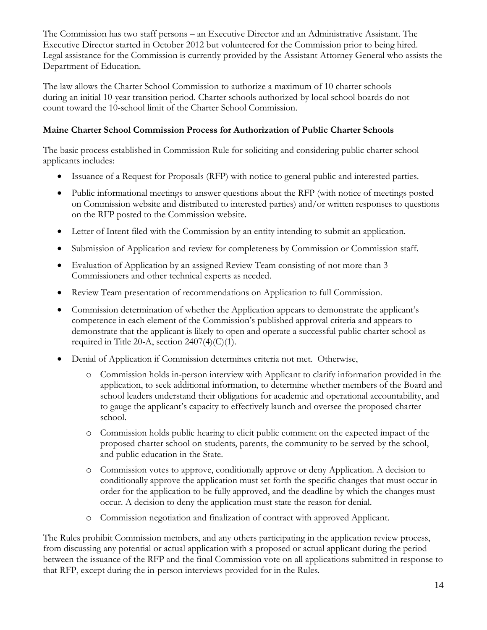The Commission has two staff persons – an Executive Director and an Administrative Assistant. The Executive Director started in October 2012 but volunteered for the Commission prior to being hired. Legal assistance for the Commission is currently provided by the Assistant Attorney General who assists the Department of Education.

The law allows the Charter School Commission to authorize a maximum of 10 charter schools during an initial 10-year transition period. Charter schools authorized by local school boards do not count toward the 10-school limit of the Charter School Commission.

# **Maine Charter School Commission Process for Authorization of Public Charter Schools**

The basic process established in Commission Rule for soliciting and considering public charter school applicants includes:

- Issuance of a Request for Proposals (RFP) with notice to general public and interested parties.
- Public informational meetings to answer questions about the RFP (with notice of meetings posted on Commission website and distributed to interested parties) and/or written responses to questions on the RFP posted to the Commission website.
- Letter of Intent filed with the Commission by an entity intending to submit an application.
- Submission of Application and review for completeness by Commission or Commission staff.
- Evaluation of Application by an assigned Review Team consisting of not more than 3 Commissioners and other technical experts as needed.
- Review Team presentation of recommendations on Application to full Commission.
- Commission determination of whether the Application appears to demonstrate the applicant's competence in each element of the Commission's published approval criteria and appears to demonstrate that the applicant is likely to open and operate a successful public charter school as required in Title 20-A, section  $2407(4)(C)(1)$ .
- Denial of Application if Commission determines criteria not met. Otherwise,
	- o Commission holds in-person interview with Applicant to clarify information provided in the application, to seek additional information, to determine whether members of the Board and school leaders understand their obligations for academic and operational accountability, and to gauge the applicant's capacity to effectively launch and oversee the proposed charter school.
	- o Commission holds public hearing to elicit public comment on the expected impact of the proposed charter school on students, parents, the community to be served by the school, and public education in the State.
	- o Commission votes to approve, conditionally approve or deny Application. A decision to conditionally approve the application must set forth the specific changes that must occur in order for the application to be fully approved, and the deadline by which the changes must occur. A decision to deny the application must state the reason for denial.
	- o Commission negotiation and finalization of contract with approved Applicant.

The Rules prohibit Commission members, and any others participating in the application review process, from discussing any potential or actual application with a proposed or actual applicant during the period between the issuance of the RFP and the final Commission vote on all applications submitted in response to that RFP, except during the in-person interviews provided for in the Rules.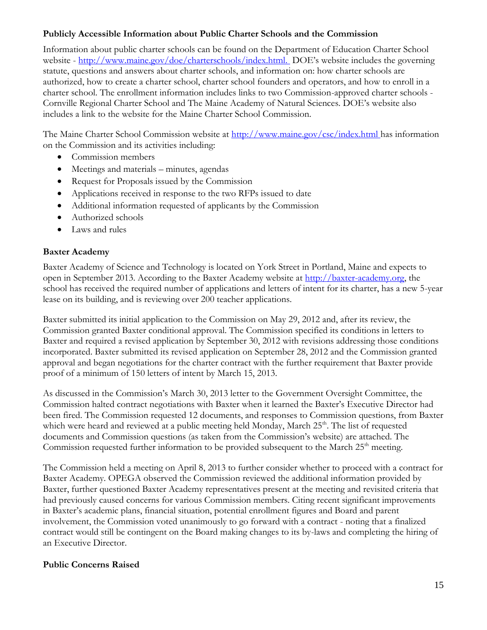## **Publicly Accessible Information about Public Charter Schools and the Commission**

Information about public charter schools can be found on the Department of Education Charter School website - [http://www.maine.gov/doe/charterschools/index.html.](http://www.maine.gov/doe/charterschools/index.html) DOE's website includes the governing statute, questions and answers about charter schools, and information on: how charter schools are authorized, how to create a charter school, charter school founders and operators, and how to enroll in a charter school. The enrollment information includes links to two Commission-approved charter schools - Cornville Regional Charter School and The Maine Academy of Natural Sciences. DOE's website also includes a link to the website for the Maine Charter School Commission.

The Maine Charter School Commission website at<http://www.maine.gov/csc/index.html> has information on the Commission and its activities including:

- Commission members
- Meetings and materials minutes, agendas
- Request for Proposals issued by the Commission
- Applications received in response to the two RFPs issued to date
- Additional information requested of applicants by the Commission
- Authorized schools
- Laws and rules

# **Baxter Academy**

Baxter Academy of Science and Technology is located on York Street in Portland, Maine and expects to open in September 2013. According to the Baxter Academy website at [http://baxter-academy.org,](http://baxter-academy.org/) the school has received the required number of applications and letters of intent for its charter, has a new 5-year lease on its building, and is reviewing over 200 teacher applications.

Baxter submitted its initial application to the Commission on May 29, 2012 and, after its review, the Commission granted Baxter conditional approval. The Commission specified its conditions in letters to Baxter and required a revised application by September 30, 2012 with revisions addressing those conditions incorporated. Baxter submitted its revised application on September 28, 2012 and the Commission granted approval and began negotiations for the charter contract with the further requirement that Baxter provide proof of a minimum of 150 letters of intent by March 15, 2013.

As discussed in the Commission's March 30, 2013 letter to the Government Oversight Committee, the Commission halted contract negotiations with Baxter when it learned the Baxter's Executive Director had been fired. The Commission requested 12 documents, and responses to Commission questions, from Baxter which were heard and reviewed at a public meeting held Monday, March 25<sup>th</sup>. The list of requested documents and Commission questions (as taken from the Commission's website) are attached. The Commission requested further information to be provided subsequent to the March  $25<sup>th</sup>$  meeting.

The Commission held a meeting on April 8, 2013 to further consider whether to proceed with a contract for Baxter Academy. OPEGA observed the Commission reviewed the additional information provided by Baxter, further questioned Baxter Academy representatives present at the meeting and revisited criteria that had previously caused concerns for various Commission members. Citing recent significant improvements in Baxter's academic plans, financial situation, potential enrollment figures and Board and parent involvement, the Commission voted unanimously to go forward with a contract - noting that a finalized contract would still be contingent on the Board making changes to its by-laws and completing the hiring of an Executive Director.

# **Public Concerns Raised**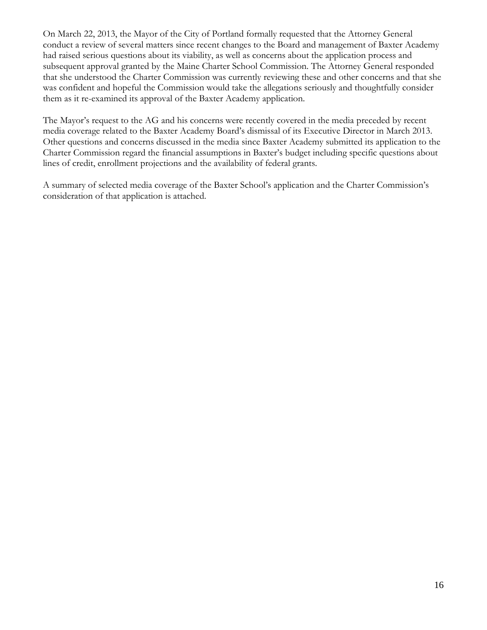On March 22, 2013, the Mayor of the City of Portland formally requested that the Attorney General conduct a review of several matters since recent changes to the Board and management of Baxter Academy had raised serious questions about its viability, as well as concerns about the application process and subsequent approval granted by the Maine Charter School Commission. The Attorney General responded that she understood the Charter Commission was currently reviewing these and other concerns and that she was confident and hopeful the Commission would take the allegations seriously and thoughtfully consider them as it re-examined its approval of the Baxter Academy application.

The Mayor's request to the AG and his concerns were recently covered in the media preceded by recent media coverage related to the Baxter Academy Board's dismissal of its Executive Director in March 2013. Other questions and concerns discussed in the media since Baxter Academy submitted its application to the Charter Commission regard the financial assumptions in Baxter's budget including specific questions about lines of credit, enrollment projections and the availability of federal grants.

A summary of selected media coverage of the Baxter School's application and the Charter Commission's consideration of that application is attached.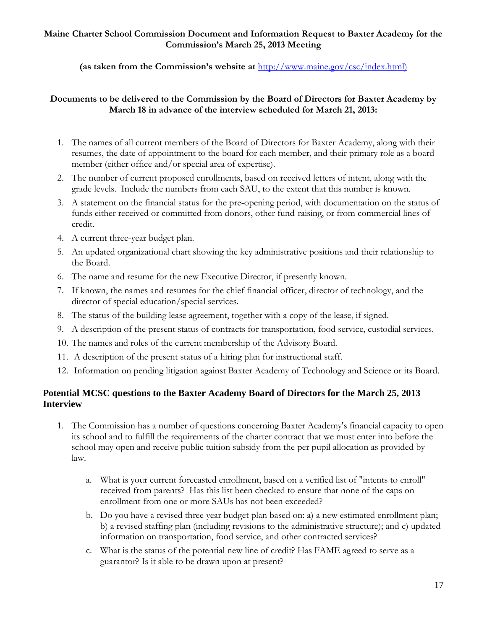### **Maine Charter School Commission Document and Information Request to Baxter Academy for the Commission's March 25, 2013 Meeting**

**(as taken from the Commission's website at** [http://www.maine.gov/csc/index.html\)](http://www.maine.gov/csc/index.html)

## **Documents to be delivered to the Commission by the Board of Directors for Baxter Academy by March 18 in advance of the interview scheduled for March 21, 2013:**

- 1. The names of all current members of the Board of Directors for Baxter Academy, along with their resumes, the date of appointment to the board for each member, and their primary role as a board member (either office and/or special area of expertise).
- 2. The number of current proposed enrollments, based on received letters of intent, along with the grade levels. Include the numbers from each SAU, to the extent that this number is known.
- 3. A statement on the financial status for the pre-opening period, with documentation on the status of funds either received or committed from donors, other fund-raising, or from commercial lines of credit.
- 4. A current three-year budget plan.
- 5. An updated organizational chart showing the key administrative positions and their relationship to the Board.
- 6. The name and resume for the new Executive Director, if presently known.
- 7. If known, the names and resumes for the chief financial officer, director of technology, and the director of special education/special services.
- 8. The status of the building lease agreement, together with a copy of the lease, if signed.
- 9. A description of the present status of contracts for transportation, food service, custodial services.
- 10. The names and roles of the current membership of the Advisory Board.
- 11. A description of the present status of a hiring plan for instructional staff.
- 12. Information on pending litigation against Baxter Academy of Technology and Science or its Board.

# **Potential MCSC questions to the Baxter Academy Board of Directors for the March 25, 2013 Interview**

- 1. The Commission has a number of questions concerning Baxter Academy's financial capacity to open its school and to fulfill the requirements of the charter contract that we must enter into before the school may open and receive public tuition subsidy from the per pupil allocation as provided by law.
	- a. What is your current forecasted enrollment, based on a verified list of "intents to enroll" received from parents? Has this list been checked to ensure that none of the caps on enrollment from one or more SAUs has not been exceeded?
	- b. Do you have a revised three year budget plan based on: a) a new estimated enrollment plan; b) a revised staffing plan (including revisions to the administrative structure); and c) updated information on transportation, food service, and other contracted services?
	- c. What is the status of the potential new line of credit? Has FAME agreed to serve as a guarantor? Is it able to be drawn upon at present?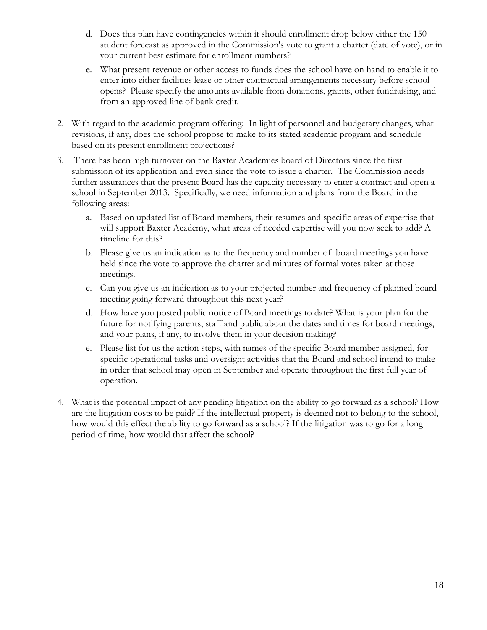- d. Does this plan have contingencies within it should enrollment drop below either the 150 student forecast as approved in the Commission's vote to grant a charter (date of vote), or in your current best estimate for enrollment numbers?
- e. What present revenue or other access to funds does the school have on hand to enable it to enter into either facilities lease or other contractual arrangements necessary before school opens? Please specify the amounts available from donations, grants, other fundraising, and from an approved line of bank credit.
- 2. With regard to the academic program offering: In light of personnel and budgetary changes, what revisions, if any, does the school propose to make to its stated academic program and schedule based on its present enrollment projections?
- 3. There has been high turnover on the Baxter Academies board of Directors since the first submission of its application and even since the vote to issue a charter. The Commission needs further assurances that the present Board has the capacity necessary to enter a contract and open a school in September 2013. Specifically, we need information and plans from the Board in the following areas:
	- a. Based on updated list of Board members, their resumes and specific areas of expertise that will support Baxter Academy, what areas of needed expertise will you now seek to add? A timeline for this?
	- b. Please give us an indication as to the frequency and number of board meetings you have held since the vote to approve the charter and minutes of formal votes taken at those meetings.
	- c. Can you give us an indication as to your projected number and frequency of planned board meeting going forward throughout this next year?
	- d. How have you posted public notice of Board meetings to date? What is your plan for the future for notifying parents, staff and public about the dates and times for board meetings, and your plans, if any, to involve them in your decision making?
	- e. Please list for us the action steps, with names of the specific Board member assigned, for specific operational tasks and oversight activities that the Board and school intend to make in order that school may open in September and operate throughout the first full year of operation.
- 4. What is the potential impact of any pending litigation on the ability to go forward as a school? How are the litigation costs to be paid? If the intellectual property is deemed not to belong to the school, how would this effect the ability to go forward as a school? If the litigation was to go for a long period of time, how would that affect the school?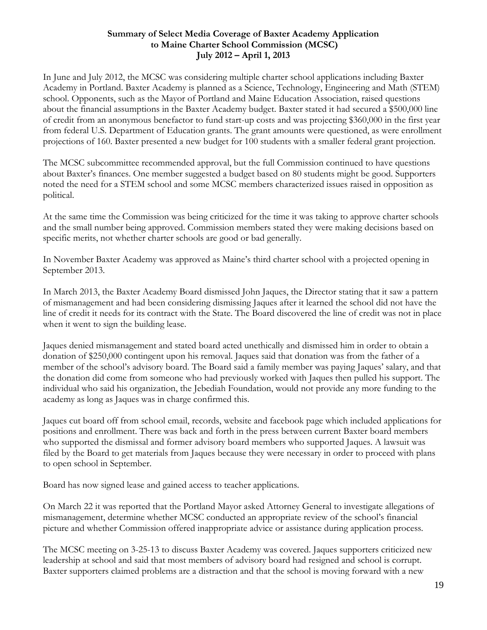### **Summary of Select Media Coverage of Baxter Academy Application to Maine Charter School Commission (MCSC) July 2012 – April 1, 2013**

In June and July 2012, the MCSC was considering multiple charter school applications including Baxter Academy in Portland. Baxter Academy is planned as a Science, Technology, Engineering and Math (STEM) school. Opponents, such as the Mayor of Portland and Maine Education Association, raised questions about the financial assumptions in the Baxter Academy budget. Baxter stated it had secured a \$500,000 line of credit from an anonymous benefactor to fund start-up costs and was projecting \$360,000 in the first year from federal U.S. Department of Education grants. The grant amounts were questioned, as were enrollment projections of 160. Baxter presented a new budget for 100 students with a smaller federal grant projection.

The MCSC subcommittee recommended approval, but the full Commission continued to have questions about Baxter's finances. One member suggested a budget based on 80 students might be good. Supporters noted the need for a STEM school and some MCSC members characterized issues raised in opposition as political.

At the same time the Commission was being criticized for the time it was taking to approve charter schools and the small number being approved. Commission members stated they were making decisions based on specific merits, not whether charter schools are good or bad generally.

In November Baxter Academy was approved as Maine's third charter school with a projected opening in September 2013.

In March 2013, the Baxter Academy Board dismissed John Jaques, the Director stating that it saw a pattern of mismanagement and had been considering dismissing Jaques after it learned the school did not have the line of credit it needs for its contract with the State. The Board discovered the line of credit was not in place when it went to sign the building lease.

Jaques denied mismanagement and stated board acted unethically and dismissed him in order to obtain a donation of \$250,000 contingent upon his removal. Jaques said that donation was from the father of a member of the school's advisory board. The Board said a family member was paying Jaques' salary, and that the donation did come from someone who had previously worked with Jaques then pulled his support. The individual who said his organization, the Jebediah Foundation, would not provide any more funding to the academy as long as Jaques was in charge confirmed this.

Jaques cut board off from school email, records, website and facebook page which included applications for positions and enrollment. There was back and forth in the press between current Baxter board members who supported the dismissal and former advisory board members who supported Jaques. A lawsuit was filed by the Board to get materials from Jaques because they were necessary in order to proceed with plans to open school in September.

Board has now signed lease and gained access to teacher applications.

On March 22 it was reported that the Portland Mayor asked Attorney General to investigate allegations of mismanagement, determine whether MCSC conducted an appropriate review of the school's financial picture and whether Commission offered inappropriate advice or assistance during application process.

The MCSC meeting on 3-25-13 to discuss Baxter Academy was covered. Jaques supporters criticized new leadership at school and said that most members of advisory board had resigned and school is corrupt. Baxter supporters claimed problems are a distraction and that the school is moving forward with a new